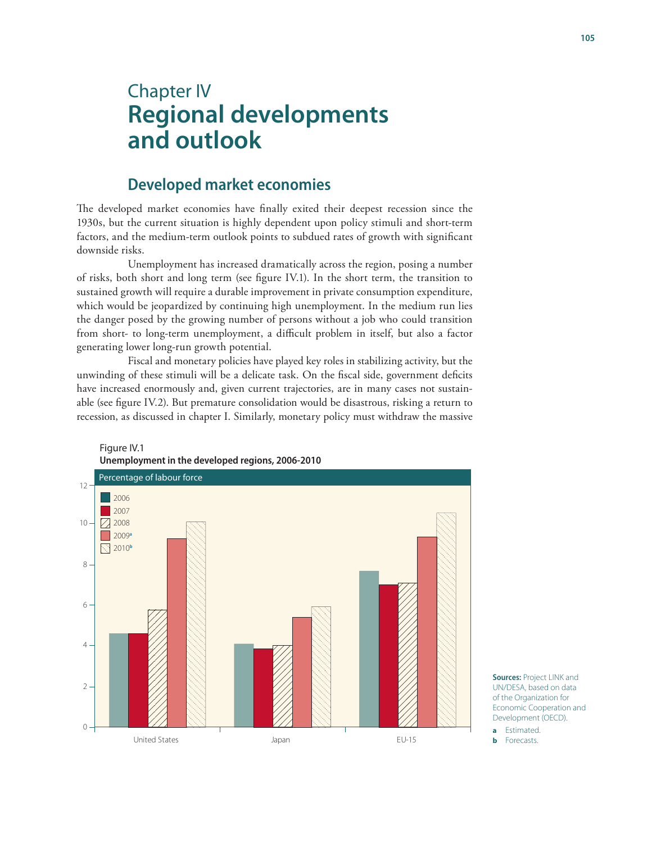# Chapter IV **Regional developments and outlook**

# **Developed market economies**

The developed market economies have finally exited their deepest recession since the 1930s, but the current situation is highly dependent upon policy stimuli and short-term factors, and the medium-term outlook points to subdued rates of growth with significant downside risks.

Unemployment has increased dramatically across the region, posing a number of risks, both short and long term (see figure IV.1). In the short term, the transition to sustained growth will require a durable improvement in private consumption expenditure, which would be jeopardized by continuing high unemployment. In the medium run lies the danger posed by the growing number of persons without a job who could transition from short- to long-term unemployment, a difficult problem in itself, but also a factor generating lower long-run growth potential.

Fiscal and monetary policies have played key roles in stabilizing activity, but the unwinding of these stimuli will be a delicate task. On the fiscal side, government deficits have increased enormously and, given current trajectories, are in many cases not sustainable (see figure IV.2). But premature consolidation would be disastrous, risking a return to recession, as discussed in chapter I. Similarly, monetary policy must withdraw the massive





**a** Estimated.

**b** Forecasts.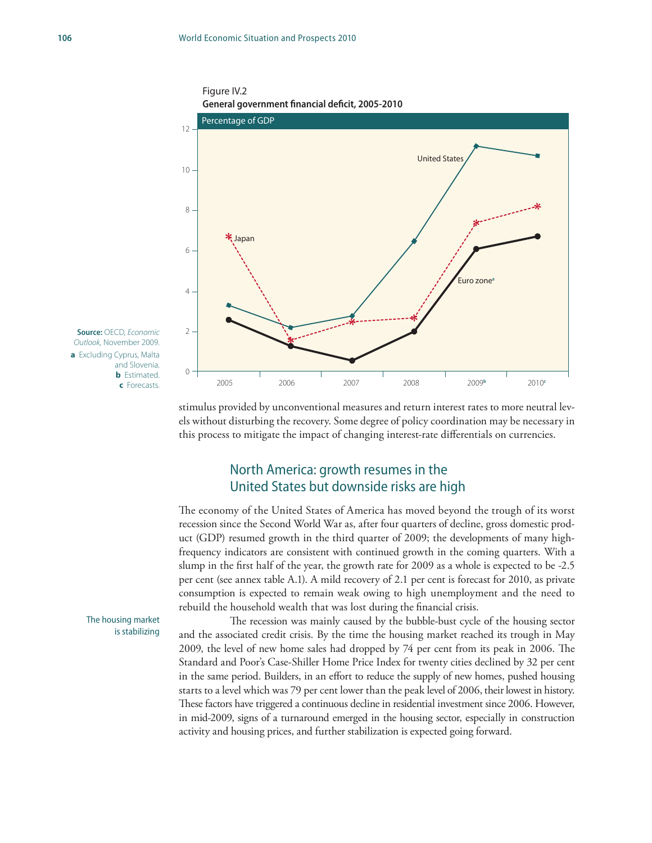



**Source:** OECD, *Economic Outlook,* November 2009. **a** Excluding Cyprus, Malta and Slovenia. **b** Estimated. **c** Forecasts.

> stimulus provided by unconventional measures and return interest rates to more neutral levels without disturbing the recovery. Some degree of policy coordination may be necessary in this process to mitigate the impact of changing interest-rate differentials on currencies.

# North America: growth resumes in the United States but downside risks are high

The economy of the United States of America has moved beyond the trough of its worst recession since the Second World War as, after four quarters of decline, gross domestic product (GDP) resumed growth in the third quarter of 2009; the developments of many highfrequency indicators are consistent with continued growth in the coming quarters. With a slump in the first half of the year, the growth rate for 2009 as a whole is expected to be -2.5 per cent (see annex table A.1). A mild recovery of 2.1 per cent is forecast for 2010, as private consumption is expected to remain weak owing to high unemployment and the need to rebuild the household wealth that was lost during the financial crisis.

The recession was mainly caused by the bubble-bust cycle of the housing sector and the associated credit crisis. By the time the housing market reached its trough in May 2009, the level of new home sales had dropped by 74 per cent from its peak in 2006. The Standard and Poor's Case-Shiller Home Price Index for twenty cities declined by 32 per cent in the same period. Builders, in an effort to reduce the supply of new homes, pushed housing starts to a level which was 79 per cent lower than the peak level of 2006, their lowest in history. These factors have triggered a continuous decline in residential investment since 2006. However, in mid-2009, signs of a turnaround emerged in the housing sector, especially in construction activity and housing prices, and further stabilization is expected going forward.

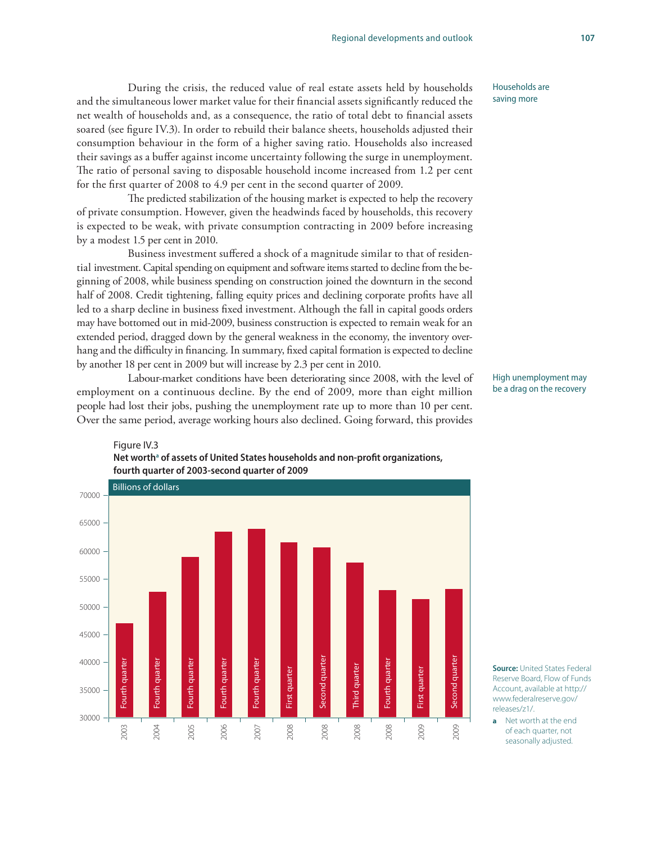During the crisis, the reduced value of real estate assets held by households and the simultaneous lower market value for their financial assets significantly reduced the net wealth of households and, as a consequence, the ratio of total debt to financial assets soared (see figure IV.3). In order to rebuild their balance sheets, households adjusted their consumption behaviour in the form of a higher saving ratio. Households also increased their savings as a buffer against income uncertainty following the surge in unemployment. The ratio of personal saving to disposable household income increased from 1.2 per cent for the first quarter of 2008 to 4.9 per cent in the second quarter of 2009.

The predicted stabilization of the housing market is expected to help the recovery of private consumption. However, given the headwinds faced by households, this recovery is expected to be weak, with private consumption contracting in 2009 before increasing by a modest 1.5 per cent in 2010.

Business investment suffered a shock of a magnitude similar to that of residential investment. Capital spending on equipment and software items started to decline from the beginning of 2008, while business spending on construction joined the downturn in the second half of 2008. Credit tightening, falling equity prices and declining corporate profits have all led to a sharp decline in business fixed investment. Although the fall in capital goods orders may have bottomed out in mid-2009, business construction is expected to remain weak for an extended period, dragged down by the general weakness in the economy, the inventory overhang and the difficulty in financing. In summary, fixed capital formation is expected to decline by another 18 per cent in 2009 but will increase by 2.3 per cent in 2010.

Labour-market conditions have been deteriorating since 2008, with the level of employment on a continuous decline. By the end of 2009, more than eight million people had lost their jobs, pushing the unemployment rate up to more than 10 per cent. Over the same period, average working hours also declined. Going forward, this provides

Net worth<sup>a</sup> of assets of United States households and non-profit organizations,

Figure IV.3



**fourth quarter of 2003-second quarter of 2009** Billions of dollars 70000 65000 60000 55000 50000 45000 Second quarter Second quarter Second quarter Second quarter 40000 Fourth quarter Fourth quarter Fourth quarter ourth quarter Fourth quarter ourth quarter Fourth quarter Fourth quarter Fourth quarter Fourth quarter Fourth quarter Fourth quarter Third quarter Third quarter First quarter First quarter First quarter First quarter 35000 30000 2008 2009 2005 2006 2008 2008 2008 2009 2003 2004 2007

**Source:** United States Federal Reserve Board, Flow of Funds Account, available at http:// www.federalreserve.gov/ releases/z1/.

**a** Net worth at the end of each quarter, not seasonally adjusted.

Households are saving more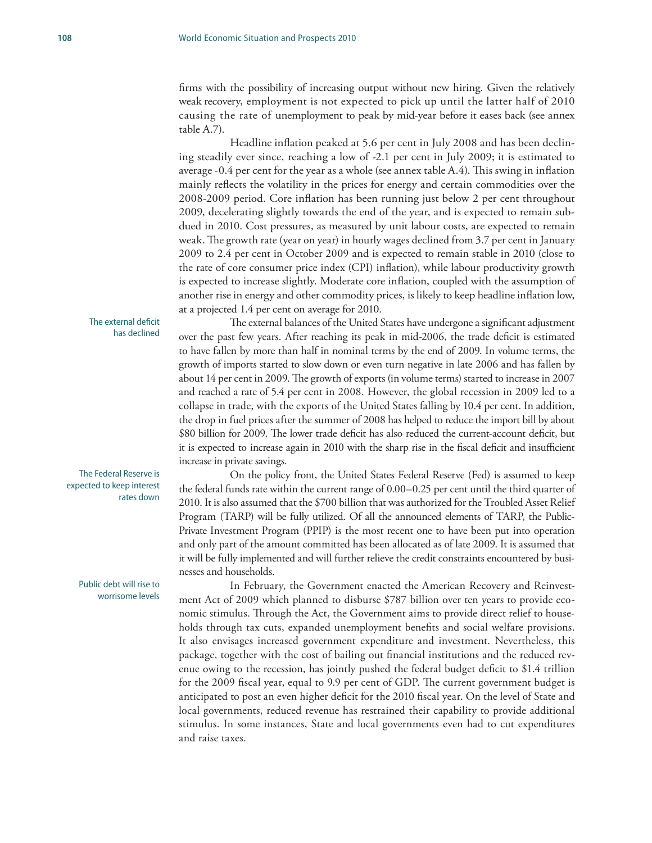firms with the possibility of increasing output without new hiring. Given the relatively weak recovery, employment is not expected to pick up until the latter half of 2010 causing the rate of unemployment to peak by mid-year before it eases back (see annex table A.7).

Headline inflation peaked at 5.6 per cent in July 2008 and has been declining steadily ever since, reaching a low of -2.1 per cent in July 2009; it is estimated to average -0.4 per cent for the year as a whole (see annex table A.4). This swing in inflation mainly reflects the volatility in the prices for energy and certain commodities over the 2008-2009 period. Core inflation has been running just below 2 per cent throughout 2009, decelerating slightly towards the end of the year, and is expected to remain subdued in 2010. Cost pressures, as measured by unit labour costs, are expected to remain weak. The growth rate (year on year) in hourly wages declined from 3.7 per cent in January 2009 to 2.4 per cent in October 2009 and is expected to remain stable in 2010 (close to the rate of core consumer price index (CPI) inflation), while labour productivity growth is expected to increase slightly. Moderate core inflation, coupled with the assumption of another rise in energy and other commodity prices, is likely to keep headline inflation low, at a projected 1.4 per cent on average for 2010.

The external balances of the United States have undergone a significant adjustment over the past few years. After reaching its peak in mid-2006, the trade deficit is estimated to have fallen by more than half in nominal terms by the end of 2009. In volume terms, the growth of imports started to slow down or even turn negative in late 2006 and has fallen by about 14 per cent in 2009. The growth of exports (in volume terms) started to increase in 2007 and reached a rate of 5.4 per cent in 2008. However, the global recession in 2009 led to a collapse in trade, with the exports of the United States falling by 10.4 per cent. In addition, the drop in fuel prices after the summer of 2008 has helped to reduce the import bill by about \$80 billion for 2009. The lower trade deficit has also reduced the current-account deficit, but it is expected to increase again in 2010 with the sharp rise in the fiscal deficit and insufficient increase in private savings.

On the policy front, the United States Federal Reserve (Fed) is assumed to keep the federal funds rate within the current range of 0.00–0.25 per cent until the third quarter of 2010. It is also assumed that the \$700 billion that was authorized for the Troubled Asset Relief Program (TARP) will be fully utilized. Of all the announced elements of TARP, the Public-Private Investment Program (PPIP) is the most recent one to have been put into operation and only part of the amount committed has been allocated as of late 2009. It is assumed that it will be fully implemented and will further relieve the credit constraints encountered by businesses and households.

In February, the Government enacted the American Recovery and Reinvestment Act of 2009 which planned to disburse \$787 billion over ten years to provide economic stimulus. Through the Act, the Government aims to provide direct relief to households through tax cuts, expanded unemployment benefits and social welfare provisions. It also envisages increased government expenditure and investment. Nevertheless, this package, together with the cost of bailing out financial institutions and the reduced revenue owing to the recession, has jointly pushed the federal budget deficit to \$1.4 trillion for the 2009 fiscal year, equal to 9.9 per cent of GDP. The current government budget is anticipated to post an even higher deficit for the 2010 fiscal year. On the level of State and local governments, reduced revenue has restrained their capability to provide additional stimulus. In some instances, State and local governments even had to cut expenditures and raise taxes.

The external deficit has declined

The Federal Reserve is expected to keep interest rates down

#### Public debt will rise to worrisome levels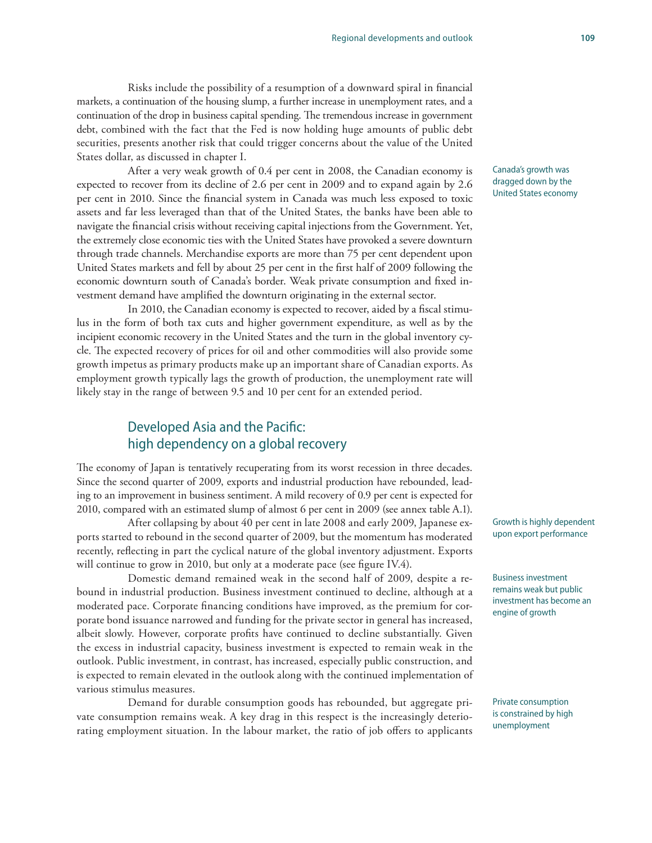Risks include the possibility of a resumption of a downward spiral in financial markets, a continuation of the housing slump, a further increase in unemployment rates, and a continuation of the drop in business capital spending. The tremendous increase in government debt, combined with the fact that the Fed is now holding huge amounts of public debt securities, presents another risk that could trigger concerns about the value of the United States dollar, as discussed in chapter I.

After a very weak growth of 0.4 per cent in 2008, the Canadian economy is expected to recover from its decline of 2.6 per cent in 2009 and to expand again by 2.6 per cent in 2010. Since the financial system in Canada was much less exposed to toxic assets and far less leveraged than that of the United States, the banks have been able to navigate the financial crisis without receiving capital injections from the Government. Yet, the extremely close economic ties with the United States have provoked a severe downturn through trade channels. Merchandise exports are more than 75 per cent dependent upon United States markets and fell by about 25 per cent in the first half of 2009 following the economic downturn south of Canada's border. Weak private consumption and fixed investment demand have amplified the downturn originating in the external sector.

In 2010, the Canadian economy is expected to recover, aided by a fiscal stimulus in the form of both tax cuts and higher government expenditure, as well as by the incipient economic recovery in the United States and the turn in the global inventory cycle. The expected recovery of prices for oil and other commodities will also provide some growth impetus as primary products make up an important share of Canadian exports. As employment growth typically lags the growth of production, the unemployment rate will likely stay in the range of between 9.5 and 10 per cent for an extended period.

# Developed Asia and the Pacific: high dependency on a global recovery

The economy of Japan is tentatively recuperating from its worst recession in three decades. Since the second quarter of 2009, exports and industrial production have rebounded, leading to an improvement in business sentiment. A mild recovery of 0.9 per cent is expected for 2010, compared with an estimated slump of almost 6 per cent in 2009 (see annex table A.1).

After collapsing by about 40 per cent in late 2008 and early 2009, Japanese exports started to rebound in the second quarter of 2009, but the momentum has moderated recently, reflecting in part the cyclical nature of the global inventory adjustment. Exports will continue to grow in 2010, but only at a moderate pace (see figure IV.4).

Domestic demand remained weak in the second half of 2009, despite a rebound in industrial production. Business investment continued to decline, although at a moderated pace. Corporate financing conditions have improved, as the premium for corporate bond issuance narrowed and funding for the private sector in general has increased, albeit slowly. However, corporate profits have continued to decline substantially. Given the excess in industrial capacity, business investment is expected to remain weak in the outlook. Public investment, in contrast, has increased, especially public construction, and is expected to remain elevated in the outlook along with the continued implementation of various stimulus measures.

Demand for durable consumption goods has rebounded, but aggregate private consumption remains weak. A key drag in this respect is the increasingly deteriorating employment situation. In the labour market, the ratio of job offers to applicants Canada's growth was dragged down by the United States economy

Growth is highly dependent upon export performance

Business investment remains weak but public investment has become an engine of growth

Private consumption is constrained by high unemployment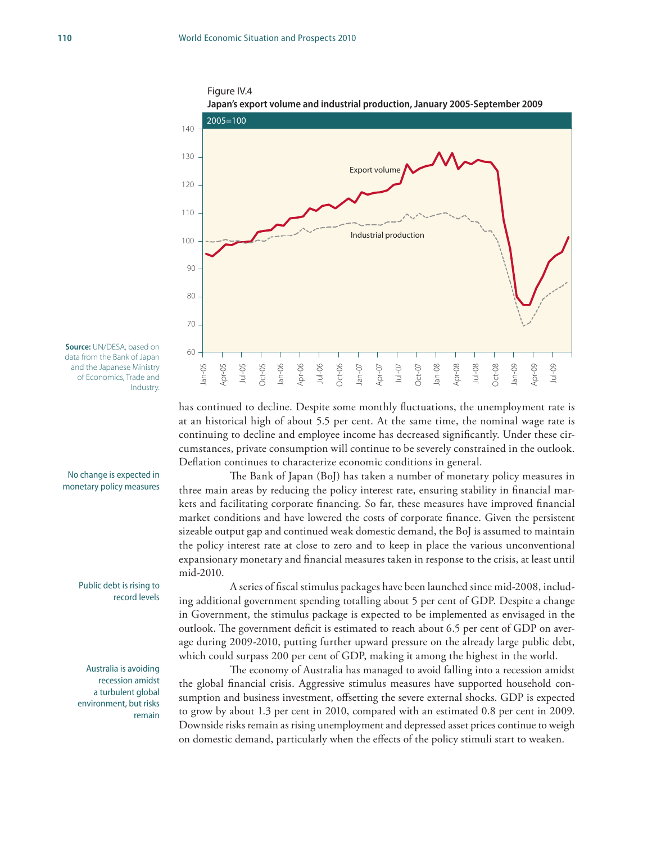Figure IV.4



**Japan's export volume and industrial production, January 2005-September 2009**

**Source:** UN/DESA, based on data from the Bank of Japan and the Japanese Ministry of Economics, Trade and Industry.

#### No change is expected in monetary policy measures

#### Public debt is rising to record levels

Australia is avoiding recession amidst a turbulent global environment, but risks remain

has continued to decline. Despite some monthly fluctuations, the unemployment rate is at an historical high of about 5.5 per cent. At the same time, the nominal wage rate is continuing to decline and employee income has decreased significantly. Under these circumstances, private consumption will continue to be severely constrained in the outlook. Deflation continues to characterize economic conditions in general.

The Bank of Japan (BoJ) has taken a number of monetary policy measures in three main areas by reducing the policy interest rate, ensuring stability in financial markets and facilitating corporate financing. So far, these measures have improved financial market conditions and have lowered the costs of corporate finance. Given the persistent sizeable output gap and continued weak domestic demand, the BoJ is assumed to maintain the policy interest rate at close to zero and to keep in place the various unconventional expansionary monetary and financial measures taken in response to the crisis, at least until mid-2010.

A series of fiscal stimulus packages have been launched since mid-2008, including additional government spending totalling about 5 per cent of GDP. Despite a change in Government, the stimulus package is expected to be implemented as envisaged in the outlook. The government deficit is estimated to reach about 6.5 per cent of GDP on average during 2009-2010, putting further upward pressure on the already large public debt, which could surpass 200 per cent of GDP, making it among the highest in the world.

The economy of Australia has managed to avoid falling into a recession amidst the global financial crisis. Aggressive stimulus measures have supported household consumption and business investment, offsetting the severe external shocks. GDP is expected to grow by about 1.3 per cent in 2010, compared with an estimated 0.8 per cent in 2009. Downside risks remain as rising unemployment and depressed asset prices continue to weigh on domestic demand, particularly when the effects of the policy stimuli start to weaken.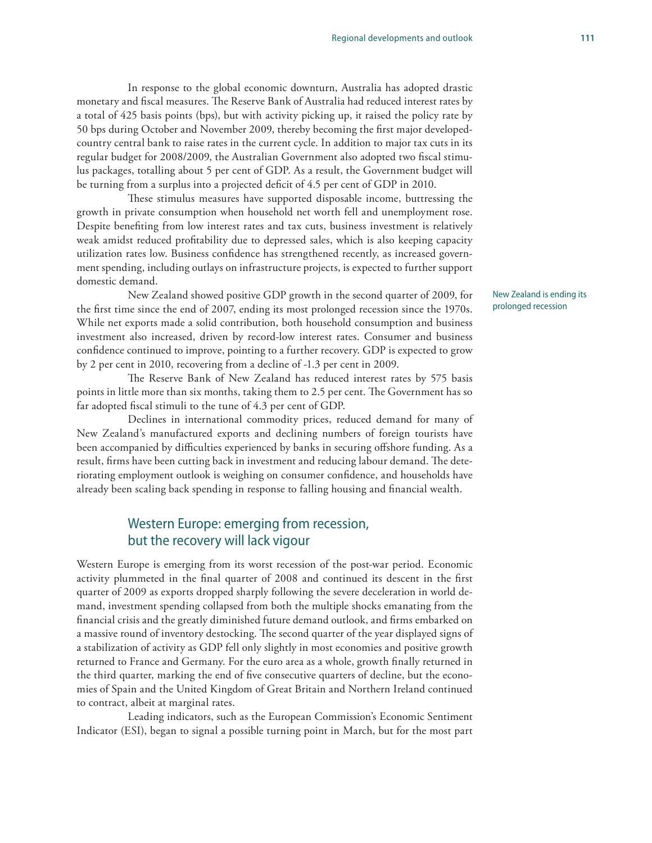In response to the global economic downturn, Australia has adopted drastic monetary and fiscal measures. The Reserve Bank of Australia had reduced interest rates by a total of 425 basis points (bps), but with activity picking up, it raised the policy rate by 50 bps during October and November 2009, thereby becoming the first major developedcountry central bank to raise rates in the current cycle. In addition to major tax cuts in its regular budget for 2008/2009, the Australian Government also adopted two fiscal stimulus packages, totalling about 5 per cent of GDP. As a result, the Government budget will be turning from a surplus into a projected deficit of 4.5 per cent of GDP in 2010.

These stimulus measures have supported disposable income, buttressing the growth in private consumption when household net worth fell and unemployment rose. Despite benefiting from low interest rates and tax cuts, business investment is relatively weak amidst reduced profitability due to depressed sales, which is also keeping capacity utilization rates low. Business confidence has strengthened recently, as increased government spending, including outlays on infrastructure projects, is expected to further support domestic demand.

New Zealand showed positive GDP growth in the second quarter of 2009, for the first time since the end of 2007, ending its most prolonged recession since the 1970s. While net exports made a solid contribution, both household consumption and business investment also increased, driven by record-low interest rates. Consumer and business confidence continued to improve, pointing to a further recovery. GDP is expected to grow by 2 per cent in 2010, recovering from a decline of -1.3 per cent in 2009.

The Reserve Bank of New Zealand has reduced interest rates by 575 basis points in little more than six months, taking them to 2.5 per cent. The Government has so far adopted fiscal stimuli to the tune of 4.3 per cent of GDP.

Declines in international commodity prices, reduced demand for many of New Zealand's manufactured exports and declining numbers of foreign tourists have been accompanied by difficulties experienced by banks in securing offshore funding. As a result, firms have been cutting back in investment and reducing labour demand. The deteriorating employment outlook is weighing on consumer confidence, and households have already been scaling back spending in response to falling housing and financial wealth.

# Western Europe: emerging from recession, but the recovery will lack vigour

Western Europe is emerging from its worst recession of the post-war period. Economic activity plummeted in the final quarter of 2008 and continued its descent in the first quarter of 2009 as exports dropped sharply following the severe deceleration in world demand, investment spending collapsed from both the multiple shocks emanating from the financial crisis and the greatly diminished future demand outlook, and firms embarked on a massive round of inventory destocking. The second quarter of the year displayed signs of a stabilization of activity as GDP fell only slightly in most economies and positive growth returned to France and Germany. For the euro area as a whole, growth finally returned in the third quarter, marking the end of five consecutive quarters of decline, but the economies of Spain and the United Kingdom of Great Britain and Northern Ireland continued to contract, albeit at marginal rates.

Leading indicators, such as the European Commission's Economic Sentiment Indicator (ESI), began to signal a possible turning point in March, but for the most part New Zealand is ending its prolonged recession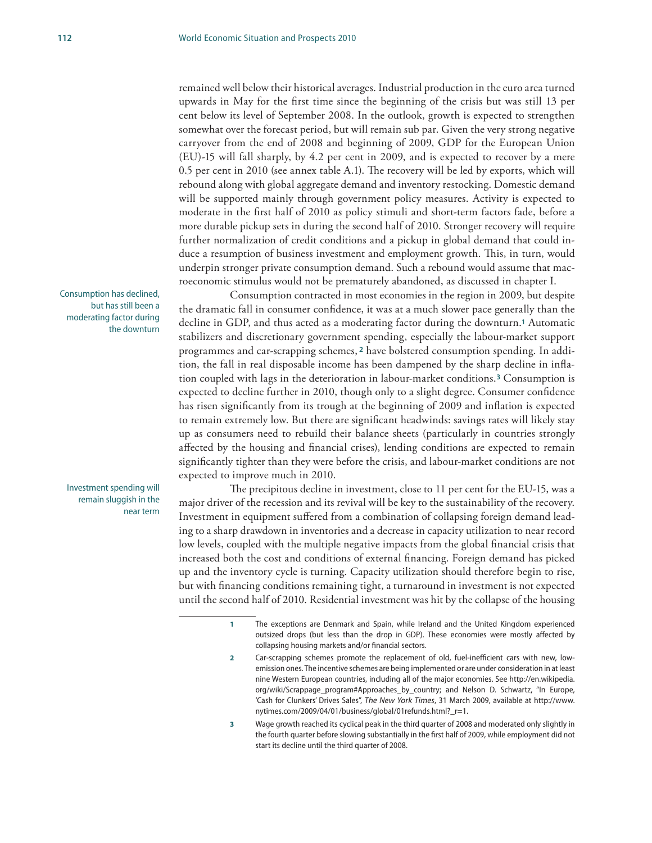remained well below their historical averages. Industrial production in the euro area turned upwards in May for the first time since the beginning of the crisis but was still 13 per cent below its level of September 2008. In the outlook, growth is expected to strengthen somewhat over the forecast period, but will remain sub par. Given the very strong negative carryover from the end of 2008 and beginning of 2009, GDP for the European Union (EU)-15 will fall sharply, by 4.2 per cent in 2009, and is expected to recover by a mere 0.5 per cent in 2010 (see annex table A.1). The recovery will be led by exports, which will rebound along with global aggregate demand and inventory restocking. Domestic demand will be supported mainly through government policy measures. Activity is expected to moderate in the first half of 2010 as policy stimuli and short-term factors fade, before a more durable pickup sets in during the second half of 2010. Stronger recovery will require further normalization of credit conditions and a pickup in global demand that could induce a resumption of business investment and employment growth. This, in turn, would underpin stronger private consumption demand. Such a rebound would assume that macroeconomic stimulus would not be prematurely abandoned, as discussed in chapter I.

Consumption contracted in most economies in the region in 2009, but despite the dramatic fall in consumer confidence, it was at a much slower pace generally than the decline in GDP, and thus acted as a moderating factor during the downturn.**1** Automatic stabilizers and discretionary government spending, especially the labour-market support programmes and car-scrapping schemes, **2** have bolstered consumption spending. In addition, the fall in real disposable income has been dampened by the sharp decline in inflation coupled with lags in the deterioration in labour-market conditions.**3** Consumption is expected to decline further in 2010, though only to a slight degree. Consumer confidence has risen significantly from its trough at the beginning of 2009 and inflation is expected to remain extremely low. But there are significant headwinds: savings rates will likely stay up as consumers need to rebuild their balance sheets (particularly in countries strongly affected by the housing and financial crises), lending conditions are expected to remain significantly tighter than they were before the crisis, and labour-market conditions are not expected to improve much in 2010.

The precipitous decline in investment, close to 11 per cent for the EU-15, was a major driver of the recession and its revival will be key to the sustainability of the recovery. Investment in equipment suffered from a combination of collapsing foreign demand leading to a sharp drawdown in inventories and a decrease in capacity utilization to near record low levels, coupled with the multiple negative impacts from the global financial crisis that increased both the cost and conditions of external financing. Foreign demand has picked up and the inventory cycle is turning. Capacity utilization should therefore begin to rise, but with financing conditions remaining tight, a turnaround in investment is not expected until the second half of 2010. Residential investment was hit by the collapse of the housing

- **1** The exceptions are Denmark and Spain, while Ireland and the United Kingdom experienced outsized drops (but less than the drop in GDP). These economies were mostly affected by collapsing housing markets and/or financial sectors.
- **2** Car-scrapping schemes promote the replacement of old, fuel-inefficient cars with new, lowemission ones. The incentive schemes are being implemented or are under consideration in at least nine Western European countries, including all of the major economies. See http://en.wikipedia. org/wiki/Scrappage\_program#Approaches\_by\_country; and Nelson D. Schwartz, "In Europe, 'Cash for Clunkers' Drives Sales", *The New York Times*, 31 March 2009, available at http://www. nytimes.com/2009/04/01/business/global/01refunds.html?\_r=1.
- **3** Wage growth reached its cyclical peak in the third quarter of 2008 and moderated only slightly in the fourth quarter before slowing substantially in the first half of 2009, while employment did not start its decline until the third quarter of 2008.

Consumption has declined, but has still been a moderating factor during the downturn

Investment spending will remain sluggish in the near term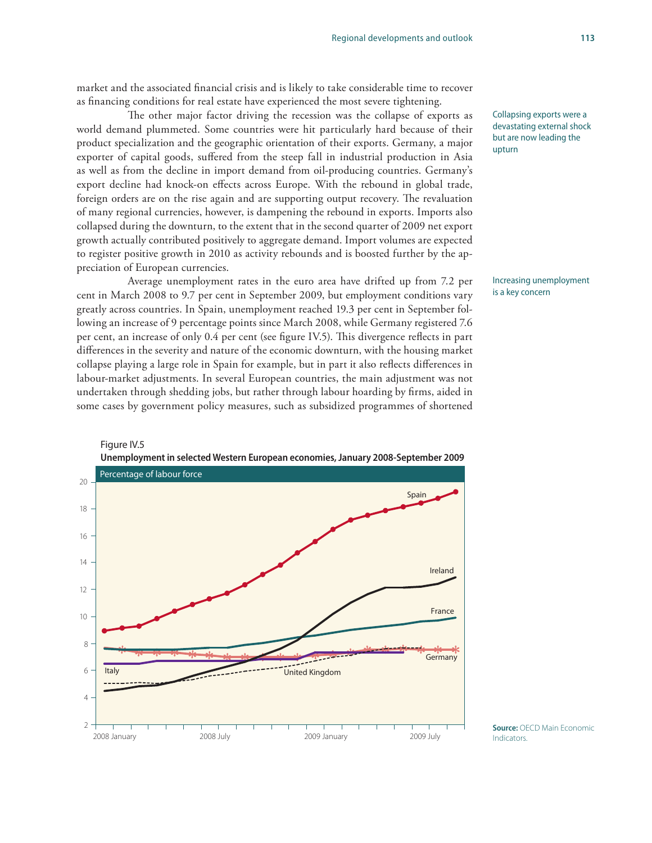market and the associated financial crisis and is likely to take considerable time to recover as financing conditions for real estate have experienced the most severe tightening.

The other major factor driving the recession was the collapse of exports as world demand plummeted. Some countries were hit particularly hard because of their product specialization and the geographic orientation of their exports. Germany, a major exporter of capital goods, suffered from the steep fall in industrial production in Asia as well as from the decline in import demand from oil-producing countries. Germany's export decline had knock-on effects across Europe. With the rebound in global trade, foreign orders are on the rise again and are supporting output recovery. The revaluation of many regional currencies, however, is dampening the rebound in exports. Imports also collapsed during the downturn, to the extent that in the second quarter of 2009 net export growth actually contributed positively to aggregate demand. Import volumes are expected to register positive growth in 2010 as activity rebounds and is boosted further by the appreciation of European currencies.

Average unemployment rates in the euro area have drifted up from 7.2 per cent in March 2008 to 9.7 per cent in September 2009, but employment conditions vary greatly across countries. In Spain, unemployment reached 19.3 per cent in September following an increase of 9 percentage points since March 2008, while Germany registered 7.6 per cent, an increase of only 0.4 per cent (see figure IV.5). This divergence reflects in part differences in the severity and nature of the economic downturn, with the housing market collapse playing a large role in Spain for example, but in part it also reflects differences in labour-market adjustments. In several European countries, the main adjustment was not undertaken through shedding jobs, but rather through labour hoarding by firms, aided in some cases by government policy measures, such as subsidized programmes of shortened



Increasing unemployment is a key concern



Figure IV.5 **Unemployment in selected Western European economies, January 2008-September 2009**

**Source:** OECD Main Economic Indicators.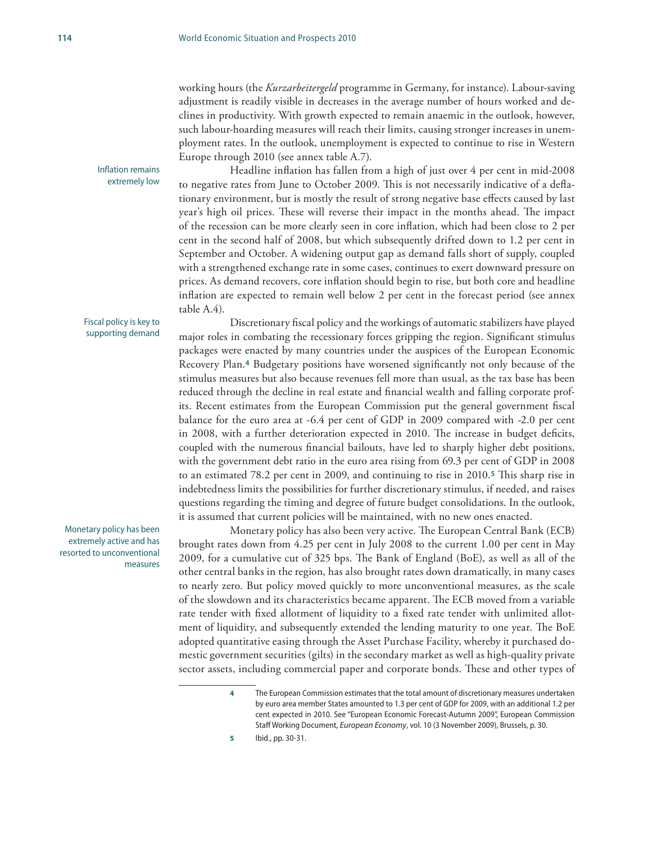working hours (the *Kurzarbeitergeld* programme in Germany, for instance). Labour-saving adjustment is readily visible in decreases in the average number of hours worked and declines in productivity. With growth expected to remain anaemic in the outlook, however, such labour-hoarding measures will reach their limits, causing stronger increases in unemployment rates. In the outlook, unemployment is expected to continue to rise in Western Europe through 2010 (see annex table A.7).

Headline inflation has fallen from a high of just over 4 per cent in mid-2008 to negative rates from June to October 2009. This is not necessarily indicative of a deflationary environment, but is mostly the result of strong negative base effects caused by last year's high oil prices. These will reverse their impact in the months ahead. The impact of the recession can be more clearly seen in core inflation, which had been close to 2 per cent in the second half of 2008, but which subsequently drifted down to 1.2 per cent in September and October. A widening output gap as demand falls short of supply, coupled with a strengthened exchange rate in some cases, continues to exert downward pressure on prices. As demand recovers, core inflation should begin to rise, but both core and headline inflation are expected to remain well below 2 per cent in the forecast period (see annex table A.4).

Discretionary fiscal policy and the workings of automatic stabilizers have played major roles in combating the recessionary forces gripping the region. Significant stimulus packages were enacted by many countries under the auspices of the European Economic Recovery Plan.**4** Budgetary positions have worsened significantly not only because of the stimulus measures but also because revenues fell more than usual, as the tax base has been reduced through the decline in real estate and financial wealth and falling corporate profits. Recent estimates from the European Commission put the general government fiscal balance for the euro area at -6.4 per cent of GDP in 2009 compared with -2.0 per cent in 2008, with a further deterioration expected in 2010. The increase in budget deficits, coupled with the numerous financial bailouts, have led to sharply higher debt positions, with the government debt ratio in the euro area rising from 69.3 per cent of GDP in 2008 to an estimated 78.2 per cent in 2009, and continuing to rise in 2010.**5** This sharp rise in indebtedness limits the possibilities for further discretionary stimulus, if needed, and raises questions regarding the timing and degree of future budget consolidations. In the outlook, it is assumed that current policies will be maintained, with no new ones enacted.

Monetary policy has also been very active. The European Central Bank (ECB) brought rates down from 4.25 per cent in July 2008 to the current 1.00 per cent in May 2009, for a cumulative cut of 325 bps. The Bank of England (BoE), as well as all of the other central banks in the region, has also brought rates down dramatically, in many cases to nearly zero. But policy moved quickly to more unconventional measures, as the scale of the slowdown and its characteristics became apparent. The ECB moved from a variable rate tender with fixed allotment of liquidity to a fixed rate tender with unlimited allotment of liquidity, and subsequently extended the lending maturity to one year. The BoE adopted quantitative easing through the Asset Purchase Facility, whereby it purchased domestic government securities (gilts) in the secondary market as well as high-quality private sector assets, including commercial paper and corporate bonds. These and other types of

Inflation remains extremely low

Fiscal policy is key to supporting demand

Monetary policy has been extremely active and has resorted to unconventional measures

**<sup>4</sup>** The European Commission estimates that the total amount of discretionary measures undertaken by euro area member States amounted to 1.3 per cent of GDP for 2009, with an additional 1.2 per cent expected in 2010. See "European Economic Forecast-Autumn 2009", European Commission Staff Working Document, *European Economy*, vol. 10 (3 November 2009), Brussels, p. 30.

**<sup>5</sup>** Ibid., pp. 30-31.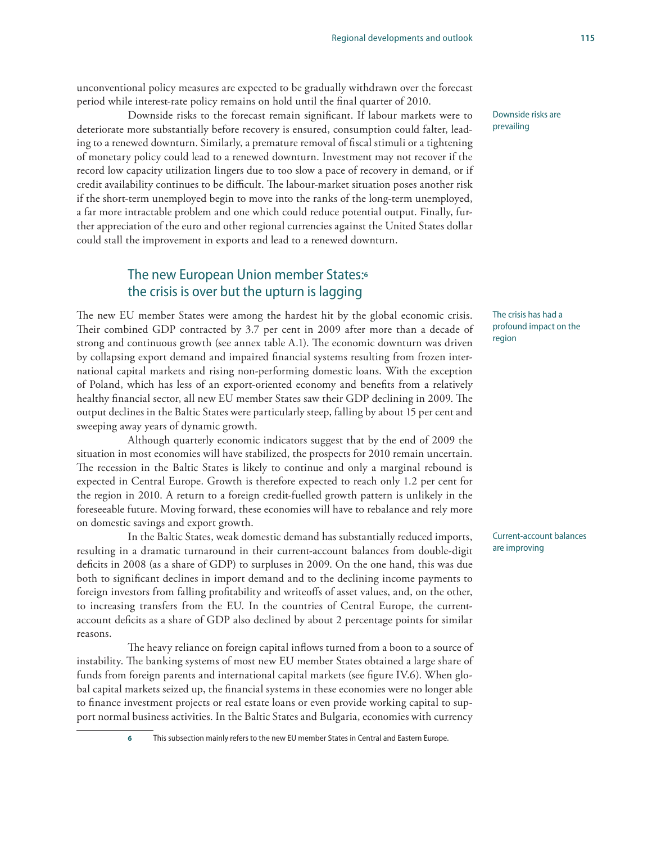unconventional policy measures are expected to be gradually withdrawn over the forecast period while interest-rate policy remains on hold until the final quarter of 2010.

Downside risks to the forecast remain significant. If labour markets were to deteriorate more substantially before recovery is ensured, consumption could falter, leading to a renewed downturn. Similarly, a premature removal of fiscal stimuli or a tightening of monetary policy could lead to a renewed downturn. Investment may not recover if the record low capacity utilization lingers due to too slow a pace of recovery in demand, or if credit availability continues to be difficult. The labour-market situation poses another risk if the short-term unemployed begin to move into the ranks of the long-term unemployed, a far more intractable problem and one which could reduce potential output. Finally, further appreciation of the euro and other regional currencies against the United States dollar could stall the improvement in exports and lead to a renewed downturn.

# The new European Union member States:**<sup>6</sup>** the crisis is over but the upturn is lagging

The new EU member States were among the hardest hit by the global economic crisis. Their combined GDP contracted by 3.7 per cent in 2009 after more than a decade of strong and continuous growth (see annex table A.1). The economic downturn was driven by collapsing export demand and impaired financial systems resulting from frozen international capital markets and rising non-performing domestic loans. With the exception of Poland, which has less of an export-oriented economy and benefits from a relatively healthy financial sector, all new EU member States saw their GDP declining in 2009. The output declines in the Baltic States were particularly steep, falling by about 15 per cent and sweeping away years of dynamic growth.

Although quarterly economic indicators suggest that by the end of 2009 the situation in most economies will have stabilized, the prospects for 2010 remain uncertain. The recession in the Baltic States is likely to continue and only a marginal rebound is expected in Central Europe. Growth is therefore expected to reach only 1.2 per cent for the region in 2010. A return to a foreign credit-fuelled growth pattern is unlikely in the foreseeable future. Moving forward, these economies will have to rebalance and rely more on domestic savings and export growth.

In the Baltic States, weak domestic demand has substantially reduced imports, resulting in a dramatic turnaround in their current-account balances from double-digit deficits in 2008 (as a share of GDP) to surpluses in 2009. On the one hand, this was due both to significant declines in import demand and to the declining income payments to foreign investors from falling profitability and writeoffs of asset values, and, on the other, to increasing transfers from the EU. In the countries of Central Europe, the currentaccount deficits as a share of GDP also declined by about 2 percentage points for similar reasons.

The heavy reliance on foreign capital inflows turned from a boon to a source of instability. The banking systems of most new EU member States obtained a large share of funds from foreign parents and international capital markets (see figure IV.6). When global capital markets seized up, the financial systems in these economies were no longer able to finance investment projects or real estate loans or even provide working capital to support normal business activities. In the Baltic States and Bulgaria, economies with currency

**6** This subsection mainly refers to the new EU member States in Central and Eastern Europe.

Downside risks are prevailing

The crisis has had a profound impact on the region

Current-account balances are improving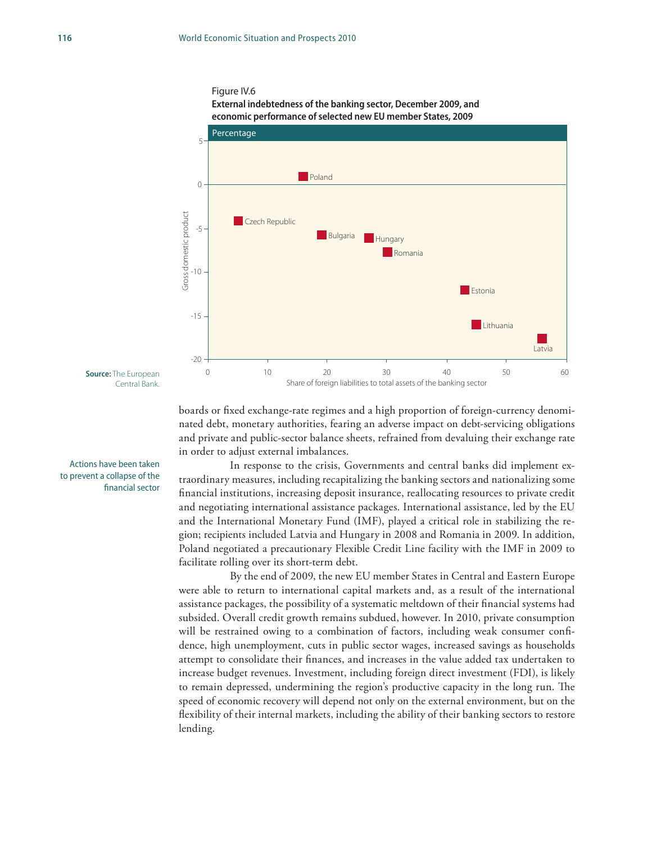#### Figure IV.6 **External indebtedness of the banking sector, December 2009, and**





boards or fixed exchange-rate regimes and a high proportion of foreign-currency denominated debt, monetary authorities, fearing an adverse impact on debt-servicing obligations and private and public-sector balance sheets, refrained from devaluing their exchange rate in order to adjust external imbalances.

In response to the crisis, Governments and central banks did implement extraordinary measures, including recapitalizing the banking sectors and nationalizing some financial institutions, increasing deposit insurance, reallocating resources to private credit and negotiating international assistance packages. International assistance, led by the EU and the International Monetary Fund (IMF), played a critical role in stabilizing the region; recipients included Latvia and Hungary in 2008 and Romania in 2009. In addition, Poland negotiated a precautionary Flexible Credit Line facility with the IMF in 2009 to facilitate rolling over its short-term debt.

By the end of 2009, the new EU member States in Central and Eastern Europe were able to return to international capital markets and, as a result of the international assistance packages, the possibility of a systematic meltdown of their financial systems had subsided. Overall credit growth remains subdued, however. In 2010, private consumption will be restrained owing to a combination of factors, including weak consumer confidence, high unemployment, cuts in public sector wages, increased savings as households attempt to consolidate their finances, and increases in the value added tax undertaken to increase budget revenues. Investment, including foreign direct investment (FDI), is likely to remain depressed, undermining the region's productive capacity in the long run. The speed of economic recovery will depend not only on the external environment, but on the flexibility of their internal markets, including the ability of their banking sectors to restore lending.

**Source:** The European Central Bank.

Actions have been taken to prevent a collapse of the financial sector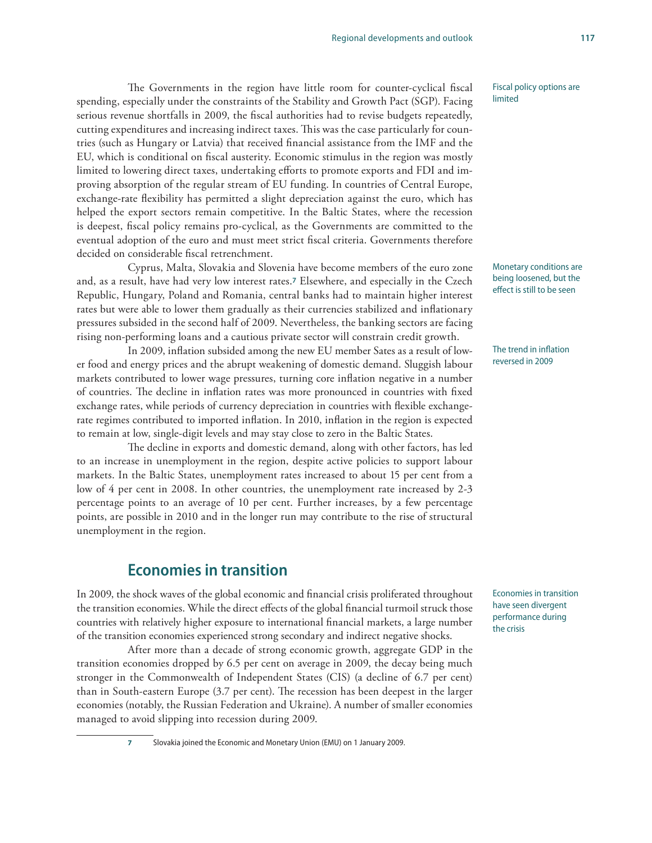The Governments in the region have little room for counter-cyclical fiscal spending, especially under the constraints of the Stability and Growth Pact (SGP). Facing serious revenue shortfalls in 2009, the fiscal authorities had to revise budgets repeatedly, cutting expenditures and increasing indirect taxes. This was the case particularly for countries (such as Hungary or Latvia) that received financial assistance from the IMF and the EU, which is conditional on fiscal austerity. Economic stimulus in the region was mostly limited to lowering direct taxes, undertaking efforts to promote exports and FDI and improving absorption of the regular stream of EU funding. In countries of Central Europe, exchange-rate flexibility has permitted a slight depreciation against the euro, which has helped the export sectors remain competitive. In the Baltic States, where the recession is deepest, fiscal policy remains pro-cyclical, as the Governments are committed to the eventual adoption of the euro and must meet strict fiscal criteria. Governments therefore decided on considerable fiscal retrenchment.

Cyprus, Malta, Slovakia and Slovenia have become members of the euro zone and, as a result, have had very low interest rates.**7** Elsewhere, and especially in the Czech Republic, Hungary, Poland and Romania, central banks had to maintain higher interest rates but were able to lower them gradually as their currencies stabilized and inflationary pressures subsided in the second half of 2009. Nevertheless, the banking sectors are facing rising non-performing loans and a cautious private sector will constrain credit growth.

In 2009, inflation subsided among the new EU member Sates as a result of lower food and energy prices and the abrupt weakening of domestic demand. Sluggish labour markets contributed to lower wage pressures, turning core inflation negative in a number of countries. The decline in inflation rates was more pronounced in countries with fixed exchange rates, while periods of currency depreciation in countries with flexible exchangerate regimes contributed to imported inflation. In 2010, inflation in the region is expected to remain at low, single-digit levels and may stay close to zero in the Baltic States.

The decline in exports and domestic demand, along with other factors, has led to an increase in unemployment in the region, despite active policies to support labour markets. In the Baltic States, unemployment rates increased to about 15 per cent from a low of 4 per cent in 2008. In other countries, the unemployment rate increased by 2-3 percentage points to an average of 10 per cent. Further increases, by a few percentage points, are possible in 2010 and in the longer run may contribute to the rise of structural unemployment in the region.

# **Economies in transition**

In 2009, the shock waves of the global economic and financial crisis proliferated throughout the transition economies. While the direct effects of the global financial turmoil struck those countries with relatively higher exposure to international financial markets, a large number of the transition economies experienced strong secondary and indirect negative shocks.

After more than a decade of strong economic growth, aggregate GDP in the transition economies dropped by 6.5 per cent on average in 2009, the decay being much stronger in the Commonwealth of Independent States (CIS) (a decline of 6.7 per cent) than in South-eastern Europe (3.7 per cent). The recession has been deepest in the larger economies (notably, the Russian Federation and Ukraine). A number of smaller economies managed to avoid slipping into recession during 2009.

**7** Slovakia joined the Economic and Monetary Union (EMU) on 1 January 2009.

Fiscal policy options are limited

Monetary conditions are being loosened, but the effect is still to be seen

The trend in inflation reversed in 2009

Economies in transition have seen divergent performance during the crisis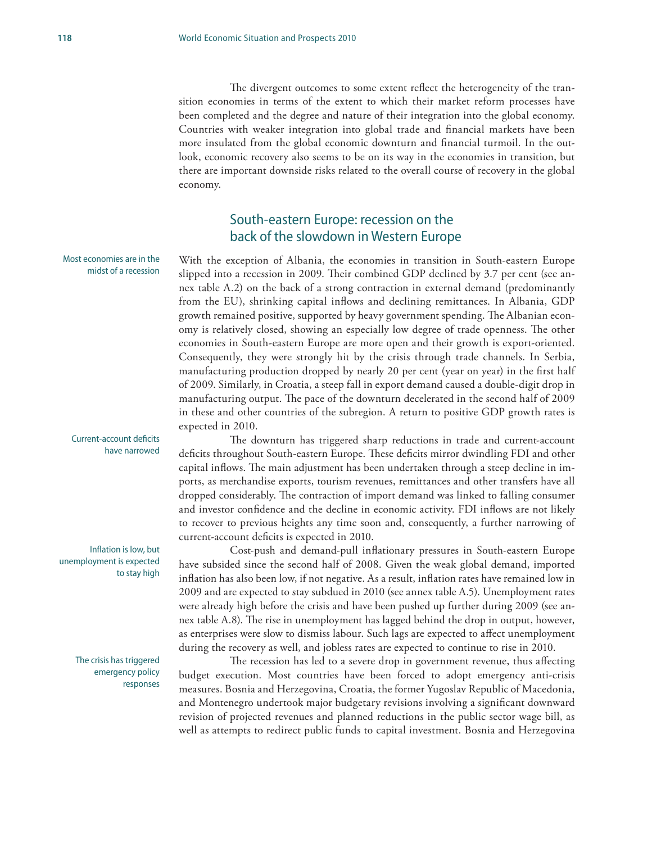The divergent outcomes to some extent reflect the heterogeneity of the transition economies in terms of the extent to which their market reform processes have been completed and the degree and nature of their integration into the global economy. Countries with weaker integration into global trade and financial markets have been more insulated from the global economic downturn and financial turmoil. In the outlook, economic recovery also seems to be on its way in the economies in transition, but there are important downside risks related to the overall course of recovery in the global economy.

# South-eastern Europe: recession on the back of the slowdown in Western Europe

Most economies are in the midst of a recession

With the exception of Albania, the economies in transition in South-eastern Europe slipped into a recession in 2009. Their combined GDP declined by 3.7 per cent (see annex table A.2) on the back of a strong contraction in external demand (predominantly from the EU), shrinking capital inflows and declining remittances. In Albania, GDP growth remained positive, supported by heavy government spending. The Albanian economy is relatively closed, showing an especially low degree of trade openness. The other economies in South-eastern Europe are more open and their growth is export-oriented. Consequently, they were strongly hit by the crisis through trade channels. In Serbia, manufacturing production dropped by nearly 20 per cent (year on year) in the first half of 2009. Similarly, in Croatia, a steep fall in export demand caused a double-digit drop in manufacturing output. The pace of the downturn decelerated in the second half of 2009 in these and other countries of the subregion. A return to positive GDP growth rates is expected in 2010.

Current-account deficits have narrowed

Inflation is low, but unemployment is expected to stay high

> The crisis has triggered emergency policy responses

The downturn has triggered sharp reductions in trade and current-account deficits throughout South-eastern Europe. These deficits mirror dwindling FDI and other capital inflows. The main adjustment has been undertaken through a steep decline in imports, as merchandise exports, tourism revenues, remittances and other transfers have all dropped considerably. The contraction of import demand was linked to falling consumer and investor confidence and the decline in economic activity. FDI inflows are not likely to recover to previous heights any time soon and, consequently, a further narrowing of current-account deficits is expected in 2010.

Cost-push and demand-pull inflationary pressures in South-eastern Europe have subsided since the second half of 2008. Given the weak global demand, imported inflation has also been low, if not negative. As a result, inflation rates have remained low in 2009 and are expected to stay subdued in 2010 (see annex table A.5). Unemployment rates were already high before the crisis and have been pushed up further during 2009 (see annex table A.8). The rise in unemployment has lagged behind the drop in output, however, as enterprises were slow to dismiss labour. Such lags are expected to affect unemployment during the recovery as well, and jobless rates are expected to continue to rise in 2010.

The recession has led to a severe drop in government revenue, thus affecting budget execution. Most countries have been forced to adopt emergency anti-crisis measures. Bosnia and Herzegovina, Croatia, the former Yugoslav Republic of Macedonia, and Montenegro undertook major budgetary revisions involving a significant downward revision of projected revenues and planned reductions in the public sector wage bill, as well as attempts to redirect public funds to capital investment. Bosnia and Herzegovina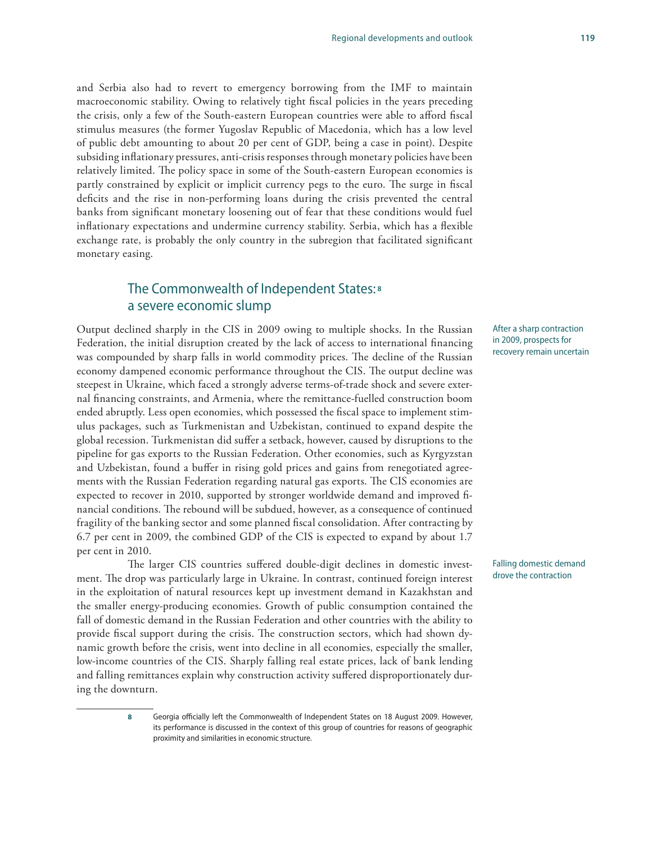and Serbia also had to revert to emergency borrowing from the IMF to maintain macroeconomic stability. Owing to relatively tight fiscal policies in the years preceding the crisis, only a few of the South-eastern European countries were able to afford fiscal stimulus measures (the former Yugoslav Republic of Macedonia, which has a low level of public debt amounting to about 20 per cent of GDP, being a case in point). Despite subsiding inflationary pressures, anti-crisis responses through monetary policies have been relatively limited. The policy space in some of the South-eastern European economies is partly constrained by explicit or implicit currency pegs to the euro. The surge in fiscal deficits and the rise in non-performing loans during the crisis prevented the central banks from significant monetary loosening out of fear that these conditions would fuel inflationary expectations and undermine currency stability. Serbia, which has a flexible exchange rate, is probably the only country in the subregion that facilitated significant monetary easing.

# The Commonwealth of Independent States:**<sup>8</sup>** a severe economic slump

Output declined sharply in the CIS in 2009 owing to multiple shocks. In the Russian Federation, the initial disruption created by the lack of access to international financing was compounded by sharp falls in world commodity prices. The decline of the Russian economy dampened economic performance throughout the CIS. The output decline was steepest in Ukraine, which faced a strongly adverse terms-of-trade shock and severe external financing constraints, and Armenia, where the remittance-fuelled construction boom ended abruptly. Less open economies, which possessed the fiscal space to implement stimulus packages, such as Turkmenistan and Uzbekistan, continued to expand despite the global recession. Turkmenistan did suffer a setback, however, caused by disruptions to the pipeline for gas exports to the Russian Federation. Other economies, such as Kyrgyzstan and Uzbekistan, found a buffer in rising gold prices and gains from renegotiated agreements with the Russian Federation regarding natural gas exports. The CIS economies are expected to recover in 2010, supported by stronger worldwide demand and improved financial conditions. The rebound will be subdued, however, as a consequence of continued fragility of the banking sector and some planned fiscal consolidation. After contracting by 6.7 per cent in 2009, the combined GDP of the CIS is expected to expand by about 1.7 per cent in 2010.

The larger CIS countries suffered double-digit declines in domestic investment. The drop was particularly large in Ukraine. In contrast, continued foreign interest in the exploitation of natural resources kept up investment demand in Kazakhstan and the smaller energy-producing economies. Growth of public consumption contained the fall of domestic demand in the Russian Federation and other countries with the ability to provide fiscal support during the crisis. The construction sectors, which had shown dynamic growth before the crisis, went into decline in all economies, especially the smaller, low-income countries of the CIS. Sharply falling real estate prices, lack of bank lending and falling remittances explain why construction activity suffered disproportionately during the downturn.

> **8** Georgia officially left the Commonwealth of Independent States on 18 August 2009. However, its performance is discussed in the context of this group of countries for reasons of geographic proximity and similarities in economic structure.

After a sharp contraction in 2009, prospects for recovery remain uncertain

Falling domestic demand drove the contraction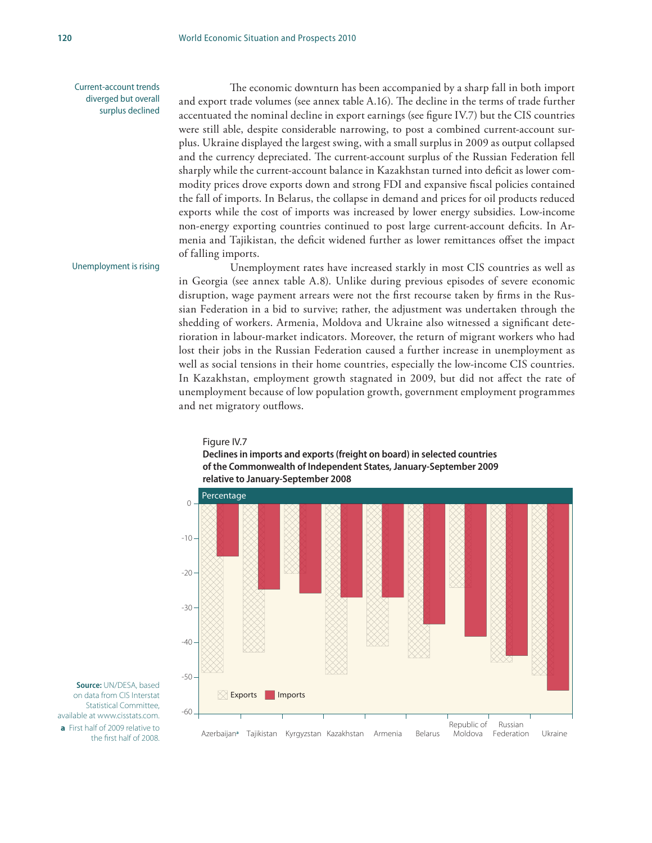Current-account trends diverged but overall surplus declined

The economic downturn has been accompanied by a sharp fall in both import and export trade volumes (see annex table A.16). The decline in the terms of trade further accentuated the nominal decline in export earnings (see figure IV.7) but the CIS countries were still able, despite considerable narrowing, to post a combined current-account surplus. Ukraine displayed the largest swing, with a small surplus in 2009 as output collapsed and the currency depreciated. The current-account surplus of the Russian Federation fell sharply while the current-account balance in Kazakhstan turned into deficit as lower commodity prices drove exports down and strong FDI and expansive fiscal policies contained the fall of imports. In Belarus, the collapse in demand and prices for oil products reduced exports while the cost of imports was increased by lower energy subsidies. Low-income non-energy exporting countries continued to post large current-account deficits. In Armenia and Tajikistan, the deficit widened further as lower remittances offset the impact of falling imports.

#### Unemployment is rising

Unemployment rates have increased starkly in most CIS countries as well as in Georgia (see annex table A.8). Unlike during previous episodes of severe economic disruption, wage payment arrears were not the first recourse taken by firms in the Russian Federation in a bid to survive; rather, the adjustment was undertaken through the shedding of workers. Armenia, Moldova and Ukraine also witnessed a significant deterioration in labour-market indicators. Moreover, the return of migrant workers who had lost their jobs in the Russian Federation caused a further increase in unemployment as well as social tensions in their home countries, especially the low-income CIS countries. In Kazakhstan, employment growth stagnated in 2009, but did not affect the rate of unemployment because of low population growth, government employment programmes and net migratory outflows.

#### Figure IV.7





**Source:** UN/DESA, based on data from CIS Interstat Statistical Committee, available at www.cisstats.com. **a** First half of 2009 relative to the first half of 2008.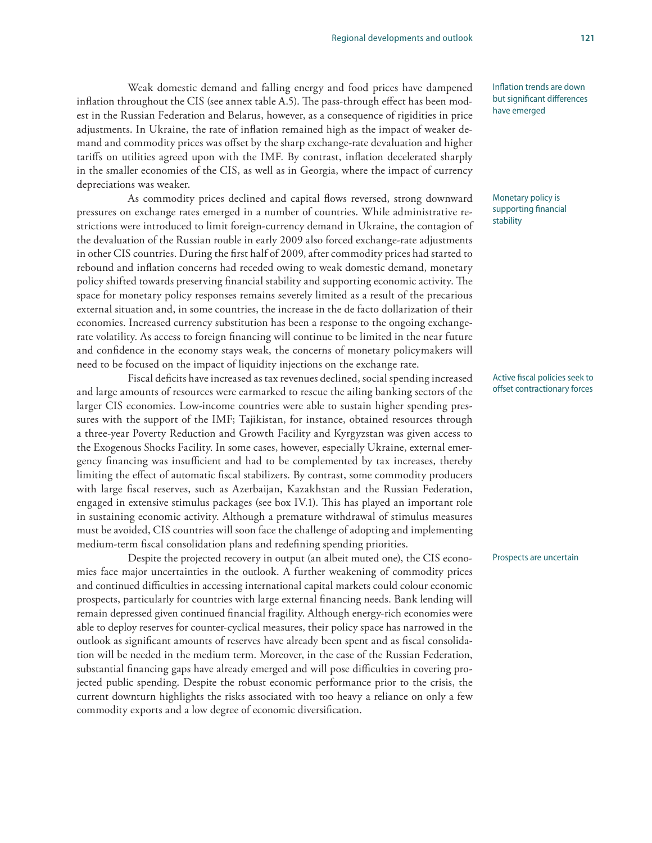Weak domestic demand and falling energy and food prices have dampened inflation throughout the CIS (see annex table A.5). The pass-through effect has been modest in the Russian Federation and Belarus, however, as a consequence of rigidities in price adjustments. In Ukraine, the rate of inflation remained high as the impact of weaker demand and commodity prices was offset by the sharp exchange-rate devaluation and higher tariffs on utilities agreed upon with the IMF. By contrast, inflation decelerated sharply in the smaller economies of the CIS, as well as in Georgia, where the impact of currency depreciations was weaker.

As commodity prices declined and capital flows reversed, strong downward pressures on exchange rates emerged in a number of countries. While administrative restrictions were introduced to limit foreign-currency demand in Ukraine, the contagion of the devaluation of the Russian rouble in early 2009 also forced exchange-rate adjustments in other CIS countries. During the first half of 2009, after commodity prices had started to rebound and inflation concerns had receded owing to weak domestic demand, monetary policy shifted towards preserving financial stability and supporting economic activity. The space for monetary policy responses remains severely limited as a result of the precarious external situation and, in some countries, the increase in the de facto dollarization of their economies. Increased currency substitution has been a response to the ongoing exchangerate volatility. As access to foreign financing will continue to be limited in the near future and confidence in the economy stays weak, the concerns of monetary policymakers will need to be focused on the impact of liquidity injections on the exchange rate.

Fiscal deficits have increased as tax revenues declined, social spending increased and large amounts of resources were earmarked to rescue the ailing banking sectors of the larger CIS economies. Low-income countries were able to sustain higher spending pressures with the support of the IMF; Tajikistan, for instance, obtained resources through a three-year Poverty Reduction and Growth Facility and Kyrgyzstan was given access to the Exogenous Shocks Facility. In some cases, however, especially Ukraine, external emergency financing was insufficient and had to be complemented by tax increases, thereby limiting the effect of automatic fiscal stabilizers. By contrast, some commodity producers with large fiscal reserves, such as Azerbaijan, Kazakhstan and the Russian Federation, engaged in extensive stimulus packages (see box IV.1). This has played an important role in sustaining economic activity. Although a premature withdrawal of stimulus measures must be avoided, CIS countries will soon face the challenge of adopting and implementing medium-term fiscal consolidation plans and redefining spending priorities.

Despite the projected recovery in output (an albeit muted one), the CIS economies face major uncertainties in the outlook. A further weakening of commodity prices and continued difficulties in accessing international capital markets could colour economic prospects, particularly for countries with large external financing needs. Bank lending will remain depressed given continued financial fragility. Although energy-rich economies were able to deploy reserves for counter-cyclical measures, their policy space has narrowed in the outlook as significant amounts of reserves have already been spent and as fiscal consolidation will be needed in the medium term. Moreover, in the case of the Russian Federation, substantial financing gaps have already emerged and will pose difficulties in covering projected public spending. Despite the robust economic performance prior to the crisis, the current downturn highlights the risks associated with too heavy a reliance on only a few commodity exports and a low degree of economic diversification.

Inflation trends are down but significant differences have emerged

Monetary policy is supporting financial stability

#### Active fiscal policies seek to offset contractionary forces

#### Prospects are uncertain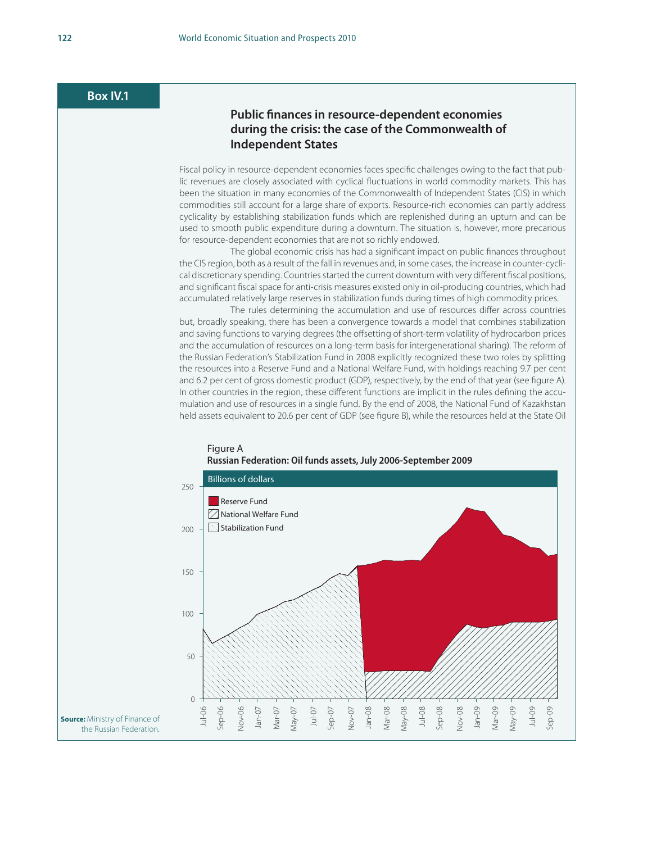#### **Box IV.1**

#### **Public finances in resource-dependent economies during the crisis: the case of the Commonwealth of Independent States**

Fiscal policy in resource-dependent economies faces specific challenges owing to the fact that public revenues are closely associated with cyclical fluctuations in world commodity markets. This has been the situation in many economies of the Commonwealth of Independent States (CIS) in which commodities still account for a large share of exports. Resource-rich economies can partly address cyclicality by establishing stabilization funds which are replenished during an upturn and can be used to smooth public expenditure during a downturn. The situation is, however, more precarious for resource-dependent economies that are not so richly endowed.

The global economic crisis has had a significant impact on public finances throughout the CIS region, both as a result of the fall in revenues and, in some cases, the increase in counter-cyclical discretionary spending. Countries started the current downturn with very different fiscal positions, and significant fiscal space for anti-crisis measures existed only in oil-producing countries, which had accumulated relatively large reserves in stabilization funds during times of high commodity prices.

The rules determining the accumulation and use of resources differ across countries but, broadly speaking, there has been a convergence towards a model that combines stabilization and saving functions to varying degrees (the offsetting of short-term volatility of hydrocarbon prices and the accumulation of resources on a long-term basis for intergenerational sharing). The reform of the Russian Federation's Stabilization Fund in 2008 explicitly recognized these two roles by splitting the resources into a Reserve Fund and a National Welfare Fund, with holdings reaching 9.7 per cent and 6.2 per cent of gross domestic product (GDP), respectively, by the end of that year (see figure A). In other countries in the region, these different functions are implicit in the rules defining the accumulation and use of resources in a single fund. By the end of 2008, the National Fund of Kazakhstan held assets equivalent to 20.6 per cent of GDP (see figure B), while the resources held at the State Oil



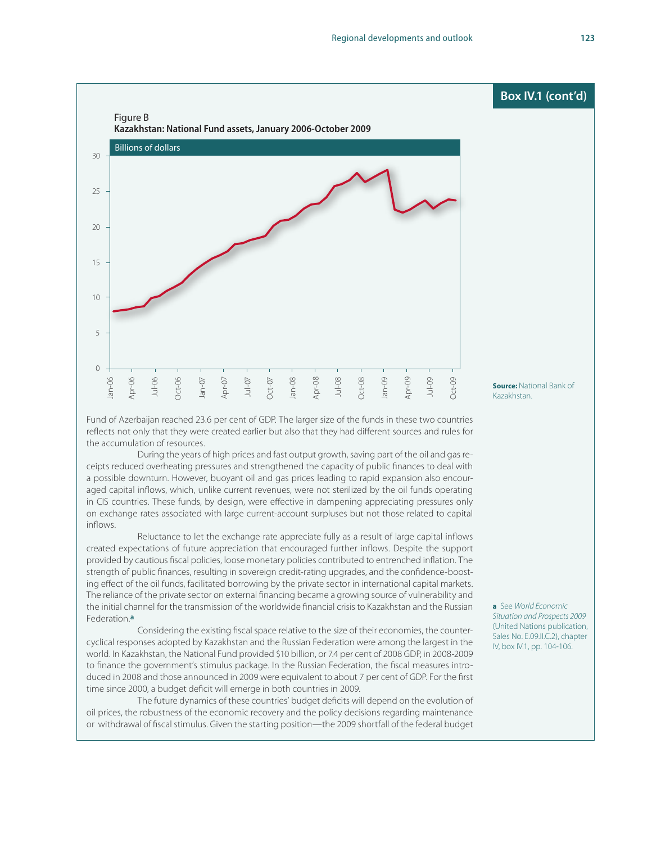

Fund of Azerbaijan reached 23.6 per cent of GDP. The larger size of the funds in these two countries reflects not only that they were created earlier but also that they had different sources and rules for the accumulation of resources.

During the years of high prices and fast output growth, saving part of the oil and gas receipts reduced overheating pressures and strengthened the capacity of public finances to deal with a possible downturn. However, buoyant oil and gas prices leading to rapid expansion also encouraged capital inflows, which, unlike current revenues, were not sterilized by the oil funds operating in CIS countries. These funds, by design, were effective in dampening appreciating pressures only on exchange rates associated with large current-account surpluses but not those related to capital inflows.

Reluctance to let the exchange rate appreciate fully as a result of large capital inflows created expectations of future appreciation that encouraged further inflows. Despite the support provided by cautious fiscal policies, loose monetary policies contributed to entrenched inflation. The strength of public finances, resulting in sovereign credit-rating upgrades, and the confidence-boosting effect of the oil funds, facilitated borrowing by the private sector in international capital markets. The reliance of the private sector on external financing became a growing source of vulnerability and the initial channel for the transmission of the worldwide financial crisis to Kazakhstan and the Russian Federation.**a**

Considering the existing fiscal space relative to the size of their economies, the countercyclical responses adopted by Kazakhstan and the Russian Federation were among the largest in the world. In Kazakhstan, the National Fund provided \$10 billion, or 7.4 per cent of 2008 GDP, in 2008-2009 to finance the government's stimulus package. In the Russian Federation, the fiscal measures introduced in 2008 and those announced in 2009 were equivalent to about 7 per cent of GDP. For the first time since 2000, a budget deficit will emerge in both countries in 2009.

The future dynamics of these countries' budget deficits will depend on the evolution of oil prices, the robustness of the economic recovery and the policy decisions regarding maintenance or withdrawal of fiscal stimulus. Given the starting position—the 2009 shortfall of the federal budget **a** See *World Economic Situation and Prospects 2009*  (United Nations publication, Sales No. E.09.II.C.2), chapter IV, box IV.1, pp. 104-106.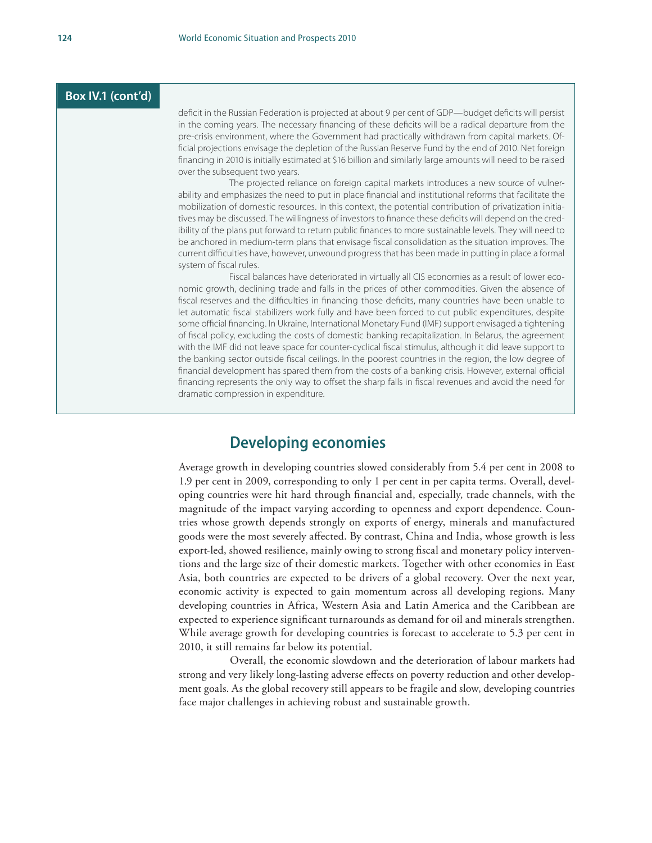#### **Box IV.1 (cont'd)**

deficit in the Russian Federation is projected at about 9 per cent of GDP—budget deficits will persist in the coming years. The necessary financing of these deficits will be a radical departure from the pre-crisis environment, where the Government had practically withdrawn from capital markets. Official projections envisage the depletion of the Russian Reserve Fund by the end of 2010. Net foreign financing in 2010 is initially estimated at \$16 billion and similarly large amounts will need to be raised over the subsequent two years.

The projected reliance on foreign capital markets introduces a new source of vulnerability and emphasizes the need to put in place financial and institutional reforms that facilitate the mobilization of domestic resources. In this context, the potential contribution of privatization initiatives may be discussed. The willingness of investors to finance these deficits will depend on the credibility of the plans put forward to return public finances to more sustainable levels. They will need to be anchored in medium-term plans that envisage fiscal consolidation as the situation improves. The current difficulties have, however, unwound progress that has been made in putting in place a formal system of fiscal rules.

Fiscal balances have deteriorated in virtually all CIS economies as a result of lower economic growth, declining trade and falls in the prices of other commodities. Given the absence of fiscal reserves and the difficulties in financing those deficits, many countries have been unable to let automatic fiscal stabilizers work fully and have been forced to cut public expenditures, despite some official financing. In Ukraine, International Monetary Fund (IMF) support envisaged a tightening of fiscal policy, excluding the costs of domestic banking recapitalization. In Belarus, the agreement with the IMF did not leave space for counter-cyclical fiscal stimulus, although it did leave support to the banking sector outside fiscal ceilings. In the poorest countries in the region, the low degree of financial development has spared them from the costs of a banking crisis. However, external official financing represents the only way to offset the sharp falls in fiscal revenues and avoid the need for dramatic compression in expenditure.

# **Developing economies**

Average growth in developing countries slowed considerably from 5.4 per cent in 2008 to 1.9 per cent in 2009, corresponding to only 1 per cent in per capita terms. Overall, developing countries were hit hard through financial and, especially, trade channels, with the magnitude of the impact varying according to openness and export dependence. Countries whose growth depends strongly on exports of energy, minerals and manufactured goods were the most severely affected. By contrast, China and India, whose growth is less export-led, showed resilience, mainly owing to strong fiscal and monetary policy interventions and the large size of their domestic markets. Together with other economies in East Asia, both countries are expected to be drivers of a global recovery. Over the next year, economic activity is expected to gain momentum across all developing regions. Many developing countries in Africa, Western Asia and Latin America and the Caribbean are expected to experience significant turnarounds as demand for oil and minerals strengthen. While average growth for developing countries is forecast to accelerate to 5.3 per cent in 2010, it still remains far below its potential.

Overall, the economic slowdown and the deterioration of labour markets had strong and very likely long-lasting adverse effects on poverty reduction and other development goals. As the global recovery still appears to be fragile and slow, developing countries face major challenges in achieving robust and sustainable growth.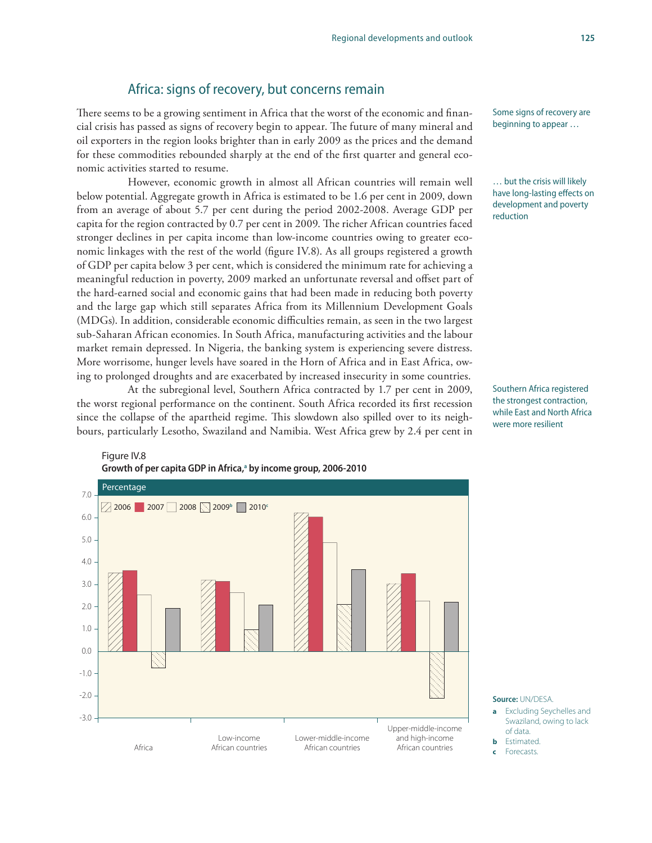#### Africa: signs of recovery, but concerns remain

There seems to be a growing sentiment in Africa that the worst of the economic and financial crisis has passed as signs of recovery begin to appear. The future of many mineral and oil exporters in the region looks brighter than in early 2009 as the prices and the demand for these commodities rebounded sharply at the end of the first quarter and general economic activities started to resume.

However, economic growth in almost all African countries will remain well below potential. Aggregate growth in Africa is estimated to be 1.6 per cent in 2009, down from an average of about 5.7 per cent during the period 2002-2008. Average GDP per capita for the region contracted by 0.7 per cent in 2009. The richer African countries faced stronger declines in per capita income than low-income countries owing to greater economic linkages with the rest of the world (figure IV.8). As all groups registered a growth of GDP per capita below 3 per cent, which is considered the minimum rate for achieving a meaningful reduction in poverty, 2009 marked an unfortunate reversal and offset part of the hard-earned social and economic gains that had been made in reducing both poverty and the large gap which still separates Africa from its Millennium Development Goals (MDGs). In addition, considerable economic difficulties remain, as seen in the two largest sub-Saharan African economies. In South Africa, manufacturing activities and the labour market remain depressed. In Nigeria, the banking system is experiencing severe distress. More worrisome, hunger levels have soared in the Horn of Africa and in East Africa, owing to prolonged droughts and are exacerbated by increased insecurity in some countries.

At the subregional level, Southern Africa contracted by 1.7 per cent in 2009, the worst regional performance on the continent. South Africa recorded its first recession since the collapse of the apartheid regime. This slowdown also spilled over to its neighbours, particularly Lesotho, Swaziland and Namibia. West Africa grew by 2.4 per cent in



… but the crisis will likely have long-lasting effects on development and poverty reduction

Southern Africa registered the strongest contraction, while East and North Africa were more resilient



**Source:** UN/DESA.

- **a** Excluding Seychelles and Swaziland, owing to lack of data.
- **b** Estimated
- **c** Forecasts.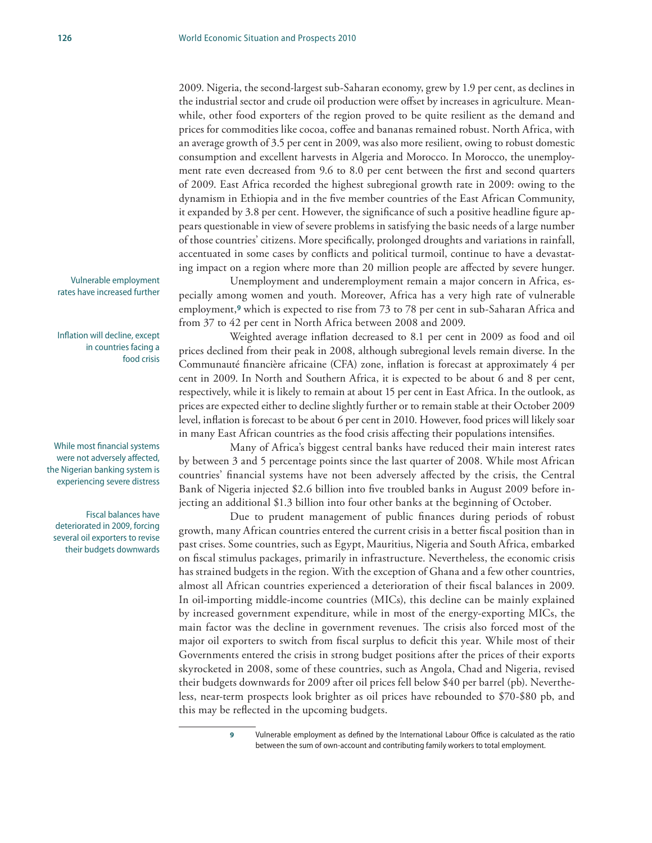2009. Nigeria, the second-largest sub-Saharan economy, grew by 1.9 per cent, as declines in the industrial sector and crude oil production were offset by increases in agriculture. Meanwhile, other food exporters of the region proved to be quite resilient as the demand and prices for commodities like cocoa, coffee and bananas remained robust. North Africa, with an average growth of 3.5 per cent in 2009, was also more resilient, owing to robust domestic consumption and excellent harvests in Algeria and Morocco. In Morocco, the unemployment rate even decreased from 9.6 to 8.0 per cent between the first and second quarters of 2009. East Africa recorded the highest subregional growth rate in 2009: owing to the dynamism in Ethiopia and in the five member countries of the East African Community, it expanded by 3.8 per cent. However, the significance of such a positive headline figure appears questionable in view of severe problems in satisfying the basic needs of a large number of those countries' citizens. More specifically, prolonged droughts and variations in rainfall, accentuated in some cases by conflicts and political turmoil, continue to have a devastating impact on a region where more than 20 million people are affected by severe hunger.

Unemployment and underemployment remain a major concern in Africa, especially among women and youth. Moreover, Africa has a very high rate of vulnerable employment,**9** which is expected to rise from 73 to 78 per cent in sub-Saharan Africa and from 37 to 42 per cent in North Africa between 2008 and 2009.

Weighted average inflation decreased to 8.1 per cent in 2009 as food and oil prices declined from their peak in 2008, although subregional levels remain diverse. In the Communauté financière africaine (CFA) zone, inflation is forecast at approximately 4 per cent in 2009. In North and Southern Africa, it is expected to be about 6 and 8 per cent, respectively, while it is likely to remain at about 15 per cent in East Africa. In the outlook, as prices are expected either to decline slightly further or to remain stable at their October 2009 level, inflation is forecast to be about 6 per cent in 2010. However, food prices will likely soar in many East African countries as the food crisis affecting their populations intensifies.

Many of Africa's biggest central banks have reduced their main interest rates by between 3 and 5 percentage points since the last quarter of 2008. While most African countries' financial systems have not been adversely affected by the crisis, the Central Bank of Nigeria injected \$2.6 billion into five troubled banks in August 2009 before injecting an additional \$1.3 billion into four other banks at the beginning of October.

Due to prudent management of public finances during periods of robust growth, many African countries entered the current crisis in a better fiscal position than in past crises. Some countries, such as Egypt, Mauritius, Nigeria and South Africa, embarked on fiscal stimulus packages, primarily in infrastructure. Nevertheless, the economic crisis has strained budgets in the region. With the exception of Ghana and a few other countries, almost all African countries experienced a deterioration of their fiscal balances in 2009. In oil-importing middle-income countries (MICs), this decline can be mainly explained by increased government expenditure, while in most of the energy-exporting MICs, the main factor was the decline in government revenues. The crisis also forced most of the major oil exporters to switch from fiscal surplus to deficit this year. While most of their Governments entered the crisis in strong budget positions after the prices of their exports skyrocketed in 2008, some of these countries, such as Angola, Chad and Nigeria, revised their budgets downwards for 2009 after oil prices fell below \$40 per barrel (pb). Nevertheless, near-term prospects look brighter as oil prices have rebounded to \$70-\$80 pb, and this may be reflected in the upcoming budgets.

Vulnerable employment rates have increased further

Inflation will decline, except in countries facing a food crisis

While most financial systems were not adversely affected, the Nigerian banking system is experiencing severe distress

Fiscal balances have deteriorated in 2009, forcing several oil exporters to revise their budgets downwards

**<sup>9</sup>** Vulnerable employment as defined by the International Labour Office is calculated as the ratio between the sum of own-account and contributing family workers to total employment.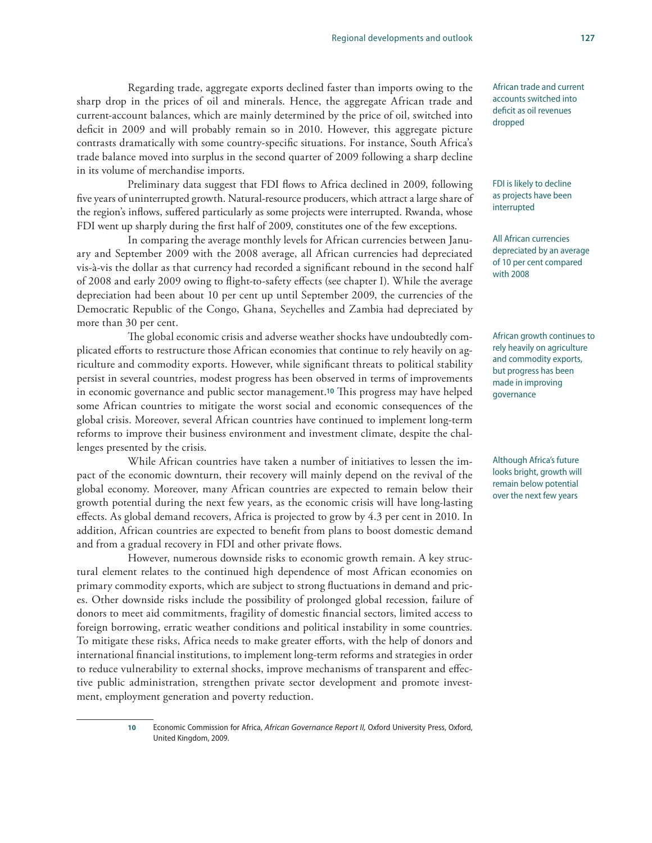#### Regarding trade, aggregate exports declined faster than imports owing to the sharp drop in the prices of oil and minerals. Hence, the aggregate African trade and current-account balances, which are mainly determined by the price of oil, switched into deficit in 2009 and will probably remain so in 2010. However, this aggregate picture contrasts dramatically with some country-specific situations. For instance, South Africa's trade balance moved into surplus in the second quarter of 2009 following a sharp decline in its volume of merchandise imports.

Preliminary data suggest that FDI flows to Africa declined in 2009, following five years of uninterrupted growth. Natural-resource producers, which attract a large share of the region's inflows, suffered particularly as some projects were interrupted. Rwanda, whose FDI went up sharply during the first half of 2009, constitutes one of the few exceptions.

In comparing the average monthly levels for African currencies between January and September 2009 with the 2008 average, all African currencies had depreciated vis-à-vis the dollar as that currency had recorded a significant rebound in the second half of 2008 and early 2009 owing to flight-to-safety effects (see chapter I). While the average depreciation had been about 10 per cent up until September 2009, the currencies of the Democratic Republic of the Congo, Ghana, Seychelles and Zambia had depreciated by more than 30 per cent.

The global economic crisis and adverse weather shocks have undoubtedly complicated efforts to restructure those African economies that continue to rely heavily on agriculture and commodity exports. However, while significant threats to political stability persist in several countries, modest progress has been observed in terms of improvements in economic governance and public sector management.**10** This progress may have helped some African countries to mitigate the worst social and economic consequences of the global crisis. Moreover, several African countries have continued to implement long-term reforms to improve their business environment and investment climate, despite the challenges presented by the crisis.

While African countries have taken a number of initiatives to lessen the impact of the economic downturn, their recovery will mainly depend on the revival of the global economy. Moreover, many African countries are expected to remain below their growth potential during the next few years, as the economic crisis will have long-lasting effects. As global demand recovers, Africa is projected to grow by 4.3 per cent in 2010. In addition, African countries are expected to benefit from plans to boost domestic demand and from a gradual recovery in FDI and other private flows.

However, numerous downside risks to economic growth remain. A key structural element relates to the continued high dependence of most African economies on primary commodity exports, which are subject to strong fluctuations in demand and prices. Other downside risks include the possibility of prolonged global recession, failure of donors to meet aid commitments, fragility of domestic financial sectors, limited access to foreign borrowing, erratic weather conditions and political instability in some countries. To mitigate these risks, Africa needs to make greater efforts, with the help of donors and international financial institutions, to implement long-term reforms and strategies in order to reduce vulnerability to external shocks, improve mechanisms of transparent and effective public administration, strengthen private sector development and promote investment, employment generation and poverty reduction.

African trade and current accounts switched into deficit as oil revenues dropped

FDI is likely to decline as projects have been interrupted

All African currencies depreciated by an average of 10 per cent compared with 2008

African growth continues to rely heavily on agriculture and commodity exports, but progress has been made in improving governance

Although Africa's future looks bright, growth will remain below potential over the next few years

**10** Economic Commission for Africa, *African Governance Report II,* Oxford University Press, Oxford, United Kingdom, 2009.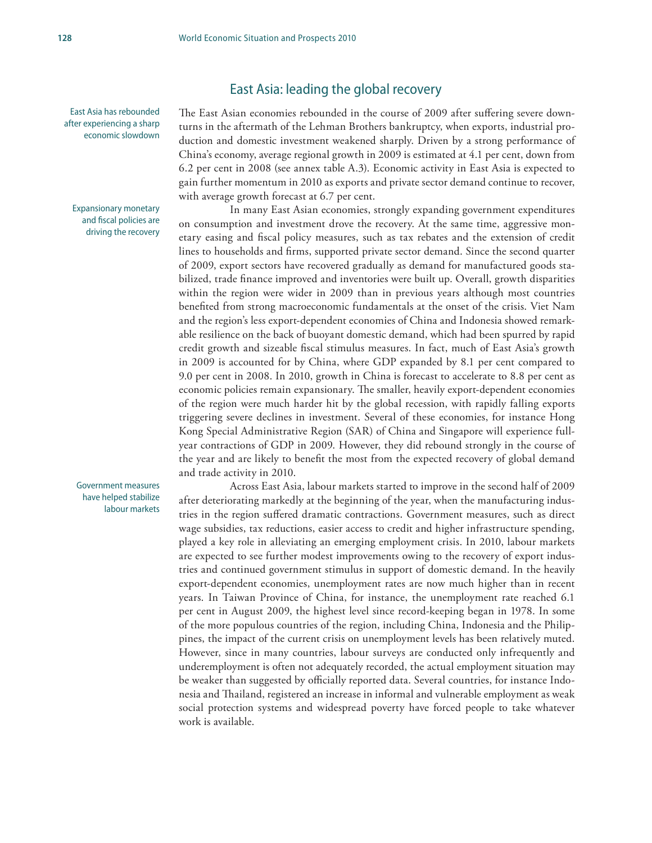East Asia has rebounded after experiencing a sharp economic slowdown

Expansionary monetary and fiscal policies are driving the recovery

Government measures have helped stabilize labour markets

The East Asian economies rebounded in the course of 2009 after suffering severe downturns in the aftermath of the Lehman Brothers bankruptcy, when exports, industrial production and domestic investment weakened sharply. Driven by a strong performance of China's economy, average regional growth in 2009 is estimated at 4.1 per cent, down from 6.2 per cent in 2008 (see annex table A.3). Economic activity in East Asia is expected to gain further momentum in 2010 as exports and private sector demand continue to recover, with average growth forecast at 6.7 per cent.

East Asia: leading the global recovery

In many East Asian economies, strongly expanding government expenditures on consumption and investment drove the recovery. At the same time, aggressive monetary easing and fiscal policy measures, such as tax rebates and the extension of credit lines to households and firms, supported private sector demand. Since the second quarter of 2009, export sectors have recovered gradually as demand for manufactured goods stabilized, trade finance improved and inventories were built up. Overall, growth disparities within the region were wider in 2009 than in previous years although most countries benefited from strong macroeconomic fundamentals at the onset of the crisis. Viet Nam and the region's less export-dependent economies of China and Indonesia showed remarkable resilience on the back of buoyant domestic demand, which had been spurred by rapid credit growth and sizeable fiscal stimulus measures. In fact, much of East Asia's growth in 2009 is accounted for by China, where GDP expanded by 8.1 per cent compared to 9.0 per cent in 2008. In 2010, growth in China is forecast to accelerate to 8.8 per cent as economic policies remain expansionary. The smaller, heavily export-dependent economies of the region were much harder hit by the global recession, with rapidly falling exports triggering severe declines in investment. Several of these economies, for instance Hong Kong Special Administrative Region (SAR) of China and Singapore will experience fullyear contractions of GDP in 2009. However, they did rebound strongly in the course of the year and are likely to benefit the most from the expected recovery of global demand and trade activity in 2010.

Across East Asia, labour markets started to improve in the second half of 2009 after deteriorating markedly at the beginning of the year, when the manufacturing industries in the region suffered dramatic contractions. Government measures, such as direct wage subsidies, tax reductions, easier access to credit and higher infrastructure spending, played a key role in alleviating an emerging employment crisis. In 2010, labour markets are expected to see further modest improvements owing to the recovery of export industries and continued government stimulus in support of domestic demand. In the heavily export-dependent economies, unemployment rates are now much higher than in recent years. In Taiwan Province of China, for instance, the unemployment rate reached 6.1 per cent in August 2009, the highest level since record-keeping began in 1978. In some of the more populous countries of the region, including China, Indonesia and the Philippines, the impact of the current crisis on unemployment levels has been relatively muted. However, since in many countries, labour surveys are conducted only infrequently and underemployment is often not adequately recorded, the actual employment situation may be weaker than suggested by officially reported data. Several countries, for instance Indonesia and Thailand, registered an increase in informal and vulnerable employment as weak social protection systems and widespread poverty have forced people to take whatever work is available.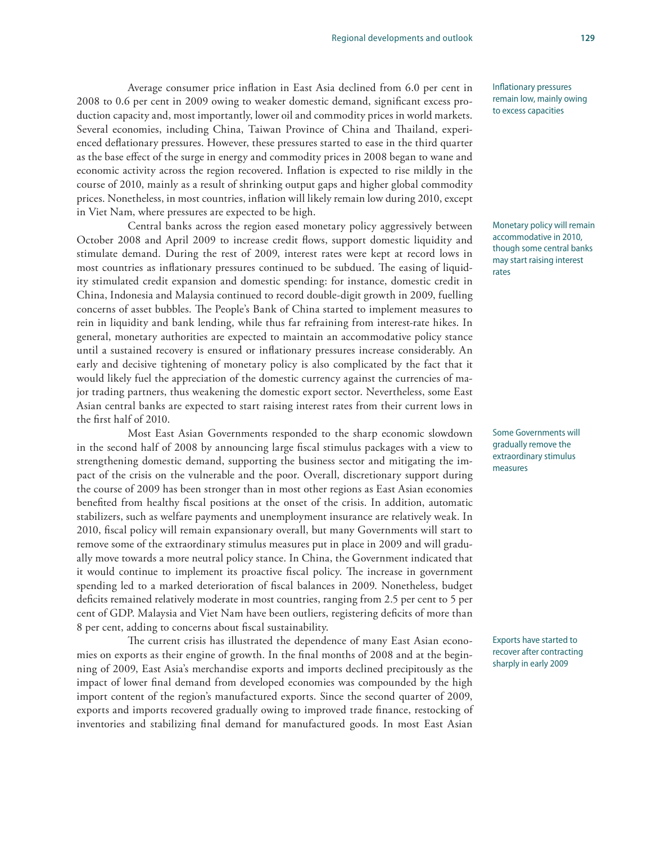Average consumer price inflation in East Asia declined from 6.0 per cent in 2008 to 0.6 per cent in 2009 owing to weaker domestic demand, significant excess production capacity and, most importantly, lower oil and commodity prices in world markets. Several economies, including China, Taiwan Province of China and Thailand, experienced deflationary pressures. However, these pressures started to ease in the third quarter as the base effect of the surge in energy and commodity prices in 2008 began to wane and economic activity across the region recovered. Inflation is expected to rise mildly in the course of 2010, mainly as a result of shrinking output gaps and higher global commodity prices. Nonetheless, in most countries, inflation will likely remain low during 2010, except in Viet Nam, where pressures are expected to be high.

Central banks across the region eased monetary policy aggressively between October 2008 and April 2009 to increase credit flows, support domestic liquidity and stimulate demand. During the rest of 2009, interest rates were kept at record lows in most countries as inflationary pressures continued to be subdued. The easing of liquidity stimulated credit expansion and domestic spending: for instance, domestic credit in China, Indonesia and Malaysia continued to record double-digit growth in 2009, fuelling concerns of asset bubbles. The People's Bank of China started to implement measures to rein in liquidity and bank lending, while thus far refraining from interest-rate hikes. In general, monetary authorities are expected to maintain an accommodative policy stance until a sustained recovery is ensured or inflationary pressures increase considerably. An early and decisive tightening of monetary policy is also complicated by the fact that it would likely fuel the appreciation of the domestic currency against the currencies of major trading partners, thus weakening the domestic export sector. Nevertheless, some East Asian central banks are expected to start raising interest rates from their current lows in the first half of 2010.

Most East Asian Governments responded to the sharp economic slowdown in the second half of 2008 by announcing large fiscal stimulus packages with a view to strengthening domestic demand, supporting the business sector and mitigating the impact of the crisis on the vulnerable and the poor. Overall, discretionary support during the course of 2009 has been stronger than in most other regions as East Asian economies benefited from healthy fiscal positions at the onset of the crisis. In addition, automatic stabilizers, such as welfare payments and unemployment insurance are relatively weak. In 2010, fiscal policy will remain expansionary overall, but many Governments will start to remove some of the extraordinary stimulus measures put in place in 2009 and will gradually move towards a more neutral policy stance. In China, the Government indicated that it would continue to implement its proactive fiscal policy. The increase in government spending led to a marked deterioration of fiscal balances in 2009. Nonetheless, budget deficits remained relatively moderate in most countries, ranging from 2.5 per cent to 5 per cent of GDP. Malaysia and Viet Nam have been outliers, registering deficits of more than 8 per cent, adding to concerns about fiscal sustainability.

The current crisis has illustrated the dependence of many East Asian economies on exports as their engine of growth. In the final months of 2008 and at the beginning of 2009, East Asia's merchandise exports and imports declined precipitously as the impact of lower final demand from developed economies was compounded by the high import content of the region's manufactured exports. Since the second quarter of 2009, exports and imports recovered gradually owing to improved trade finance, restocking of inventories and stabilizing final demand for manufactured goods. In most East Asian

Inflationary pressures remain low, mainly owing to excess capacities

Monetary policy will remain accommodative in 2010, though some central banks may start raising interest rates

Some Governments will gradually remove the extraordinary stimulus measures

Exports have started to recover after contracting sharply in early 2009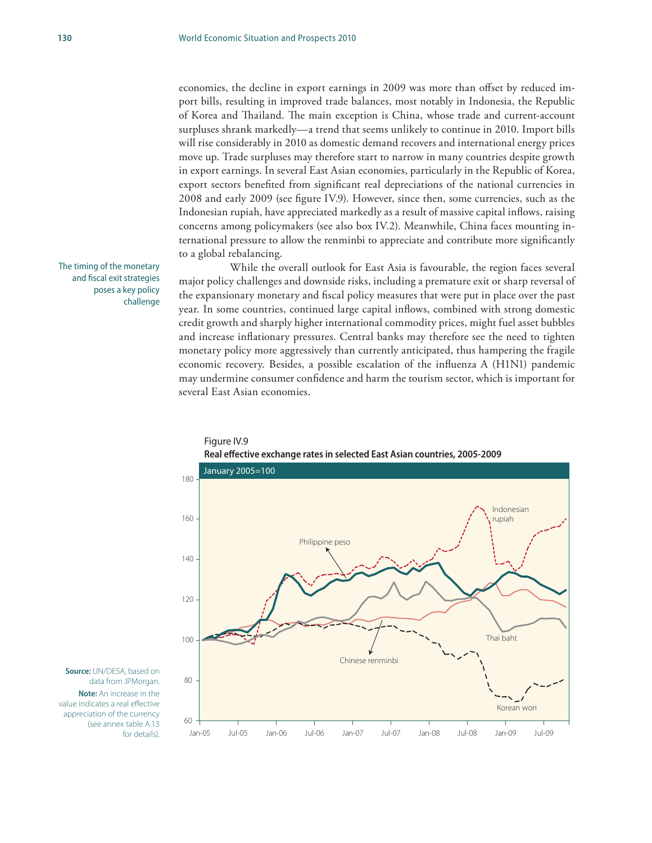economies, the decline in export earnings in 2009 was more than offset by reduced import bills, resulting in improved trade balances, most notably in Indonesia, the Republic of Korea and Thailand. The main exception is China, whose trade and current-account surpluses shrank markedly—a trend that seems unlikely to continue in 2010. Import bills will rise considerably in 2010 as domestic demand recovers and international energy prices move up. Trade surpluses may therefore start to narrow in many countries despite growth in export earnings. In several East Asian economies, particularly in the Republic of Korea, export sectors benefited from significant real depreciations of the national currencies in 2008 and early 2009 (see figure IV.9). However, since then, some currencies, such as the Indonesian rupiah, have appreciated markedly as a result of massive capital inflows, raising concerns among policymakers (see also box IV.2). Meanwhile, China faces mounting international pressure to allow the renminbi to appreciate and contribute more significantly to a global rebalancing.

While the overall outlook for East Asia is favourable, the region faces several major policy challenges and downside risks, including a premature exit or sharp reversal of the expansionary monetary and fiscal policy measures that were put in place over the past year. In some countries, continued large capital inflows, combined with strong domestic credit growth and sharply higher international commodity prices, might fuel asset bubbles and increase inflationary pressures. Central banks may therefore see the need to tighten monetary policy more aggressively than currently anticipated, thus hampering the fragile economic recovery. Besides, a possible escalation of the influenza A (H1N1) pandemic may undermine consumer confidence and harm the tourism sector, which is important for several East Asian economies.

The timing of the monetary and fiscal exit strategies poses a key policy challenge



Figure IV.9 **Real effective exchange rates in selected East Asian countries, 2005-2009**

**Source:** UN/DESA, based on data from JPMorgan. **Note:** An increase in the value indicates a real effective appreciation of the currency (see annex table A.13 for details).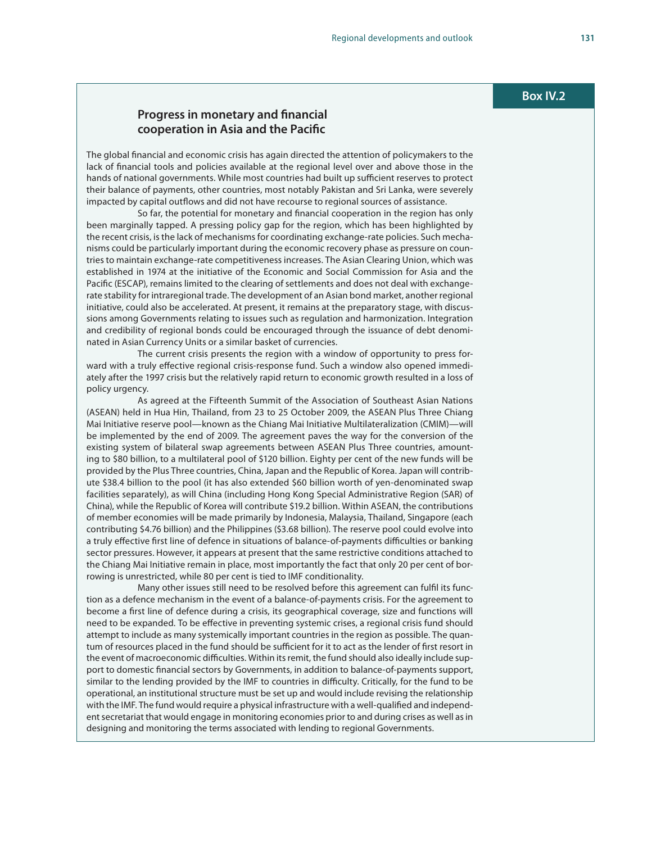#### **Progress in monetary and financial cooperation in Asia and the Pacific**

The global financial and economic crisis has again directed the attention of policymakers to the lack of financial tools and policies available at the regional level over and above those in the hands of national governments. While most countries had built up sufficient reserves to protect their balance of payments, other countries, most notably Pakistan and Sri Lanka, were severely impacted by capital outflows and did not have recourse to regional sources of assistance.

So far, the potential for monetary and financial cooperation in the region has only been marginally tapped. A pressing policy gap for the region, which has been highlighted by the recent crisis, is the lack of mechanisms for coordinating exchange-rate policies. Such mechanisms could be particularly important during the economic recovery phase as pressure on countries to maintain exchange-rate competitiveness increases. The Asian Clearing Union, which was established in 1974 at the initiative of the Economic and Social Commission for Asia and the Pacific (ESCAP), remains limited to the clearing of settlements and does not deal with exchangerate stability for intraregional trade. The development of an Asian bond market, another regional initiative, could also be accelerated. At present, it remains at the preparatory stage, with discussions among Governments relating to issues such as regulation and harmonization. Integration and credibility of regional bonds could be encouraged through the issuance of debt denominated in Asian Currency Units or a similar basket of currencies.

The current crisis presents the region with a window of opportunity to press forward with a truly effective regional crisis-response fund. Such a window also opened immediately after the 1997 crisis but the relatively rapid return to economic growth resulted in a loss of policy urgency.

As agreed at the Fifteenth Summit of the Association of Southeast Asian Nations (ASEAN) held in Hua Hin, Thailand, from 23 to 25 October 2009, the ASEAN Plus Three Chiang Mai Initiative reserve pool—known as the Chiang Mai Initiative Multilateralization (CMIM)—will be implemented by the end of 2009. The agreement paves the way for the conversion of the existing system of bilateral swap agreements between ASEAN Plus Three countries, amounting to \$80 billion, to a multilateral pool of \$120 billion. Eighty per cent of the new funds will be provided by the Plus Three countries, China, Japan and the Republic of Korea. Japan will contribute \$38.4 billion to the pool (it has also extended \$60 billion worth of yen-denominated swap facilities separately), as will China (including Hong Kong Special Administrative Region (SAR) of China), while the Republic of Korea will contribute \$19.2 billion. Within ASEAN, the contributions of member economies will be made primarily by Indonesia, Malaysia, Thailand, Singapore (each contributing \$4.76 billion) and the Philippines (\$3.68 billion). The reserve pool could evolve into a truly effective first line of defence in situations of balance-of-payments difficulties or banking sector pressures. However, it appears at present that the same restrictive conditions attached to the Chiang Mai Initiative remain in place, most importantly the fact that only 20 per cent of borrowing is unrestricted, while 80 per cent is tied to IMF conditionality.

Many other issues still need to be resolved before this agreement can fulfil its function as a defence mechanism in the event of a balance-of-payments crisis. For the agreement to become a first line of defence during a crisis, its geographical coverage, size and functions will need to be expanded. To be effective in preventing systemic crises, a regional crisis fund should attempt to include as many systemically important countries in the region as possible. The quantum of resources placed in the fund should be sufficient for it to act as the lender of first resort in the event of macroeconomic difficulties. Within its remit, the fund should also ideally include support to domestic financial sectors by Governments, in addition to balance-of-payments support, similar to the lending provided by the IMF to countries in difficulty. Critically, for the fund to be operational, an institutional structure must be set up and would include revising the relationship with the IMF. The fund would require a physical infrastructure with a well-qualified and independent secretariat that would engage in monitoring economies prior to and during crises as well as in designing and monitoring the terms associated with lending to regional Governments.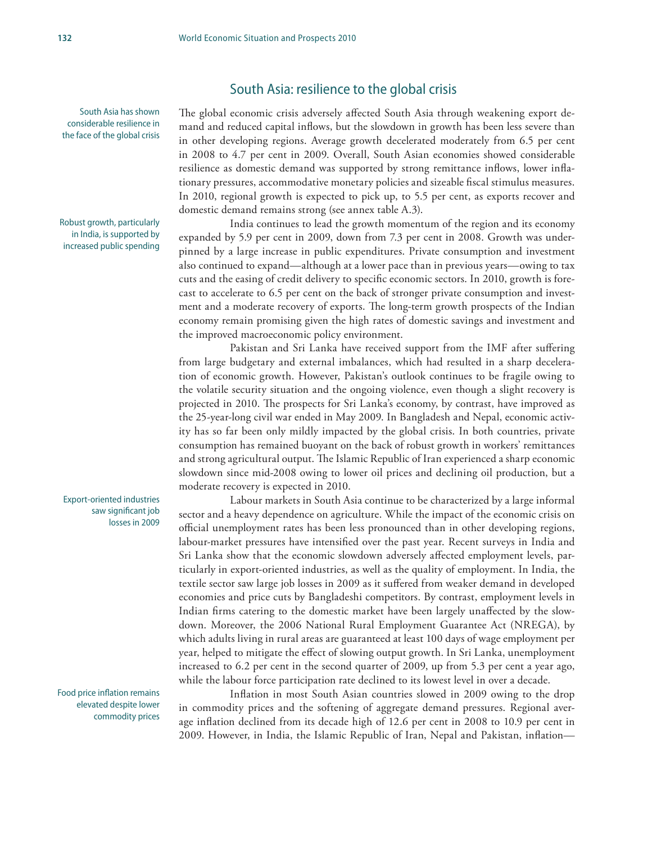#### South Asia: resilience to the global crisis

South Asia has shown considerable resilience in the face of the global crisis

Robust growth, particularly in India, is supported by increased public spending

Export-oriented industries saw significant job losses in 2009

Food price inflation remains elevated despite lower commodity prices

The global economic crisis adversely affected South Asia through weakening export demand and reduced capital inflows, but the slowdown in growth has been less severe than in other developing regions. Average growth decelerated moderately from 6.5 per cent in 2008 to 4.7 per cent in 2009. Overall, South Asian economies showed considerable resilience as domestic demand was supported by strong remittance inflows, lower inflationary pressures, accommodative monetary policies and sizeable fiscal stimulus measures. In 2010, regional growth is expected to pick up, to 5.5 per cent, as exports recover and domestic demand remains strong (see annex table A.3).

India continues to lead the growth momentum of the region and its economy expanded by 5.9 per cent in 2009, down from 7.3 per cent in 2008. Growth was underpinned by a large increase in public expenditures. Private consumption and investment also continued to expand—although at a lower pace than in previous years—owing to tax cuts and the easing of credit delivery to specific economic sectors. In 2010, growth is forecast to accelerate to 6.5 per cent on the back of stronger private consumption and investment and a moderate recovery of exports. The long-term growth prospects of the Indian economy remain promising given the high rates of domestic savings and investment and the improved macroeconomic policy environment.

Pakistan and Sri Lanka have received support from the IMF after suffering from large budgetary and external imbalances, which had resulted in a sharp deceleration of economic growth. However, Pakistan's outlook continues to be fragile owing to the volatile security situation and the ongoing violence, even though a slight recovery is projected in 2010. The prospects for Sri Lanka's economy, by contrast, have improved as the 25-year-long civil war ended in May 2009. In Bangladesh and Nepal, economic activity has so far been only mildly impacted by the global crisis. In both countries, private consumption has remained buoyant on the back of robust growth in workers' remittances and strong agricultural output. The Islamic Republic of Iran experienced a sharp economic slowdown since mid-2008 owing to lower oil prices and declining oil production, but a moderate recovery is expected in 2010.

Labour markets in South Asia continue to be characterized by a large informal sector and a heavy dependence on agriculture. While the impact of the economic crisis on official unemployment rates has been less pronounced than in other developing regions, labour-market pressures have intensified over the past year. Recent surveys in India and Sri Lanka show that the economic slowdown adversely affected employment levels, particularly in export-oriented industries, as well as the quality of employment. In India, the textile sector saw large job losses in 2009 as it suffered from weaker demand in developed economies and price cuts by Bangladeshi competitors. By contrast, employment levels in Indian firms catering to the domestic market have been largely unaffected by the slowdown. Moreover, the 2006 National Rural Employment Guarantee Act (NREGA), by which adults living in rural areas are guaranteed at least 100 days of wage employment per year, helped to mitigate the effect of slowing output growth. In Sri Lanka, unemployment increased to 6.2 per cent in the second quarter of 2009, up from 5.3 per cent a year ago, while the labour force participation rate declined to its lowest level in over a decade.

Inflation in most South Asian countries slowed in 2009 owing to the drop in commodity prices and the softening of aggregate demand pressures. Regional average inflation declined from its decade high of 12.6 per cent in 2008 to 10.9 per cent in 2009. However, in India, the Islamic Republic of Iran, Nepal and Pakistan, inflation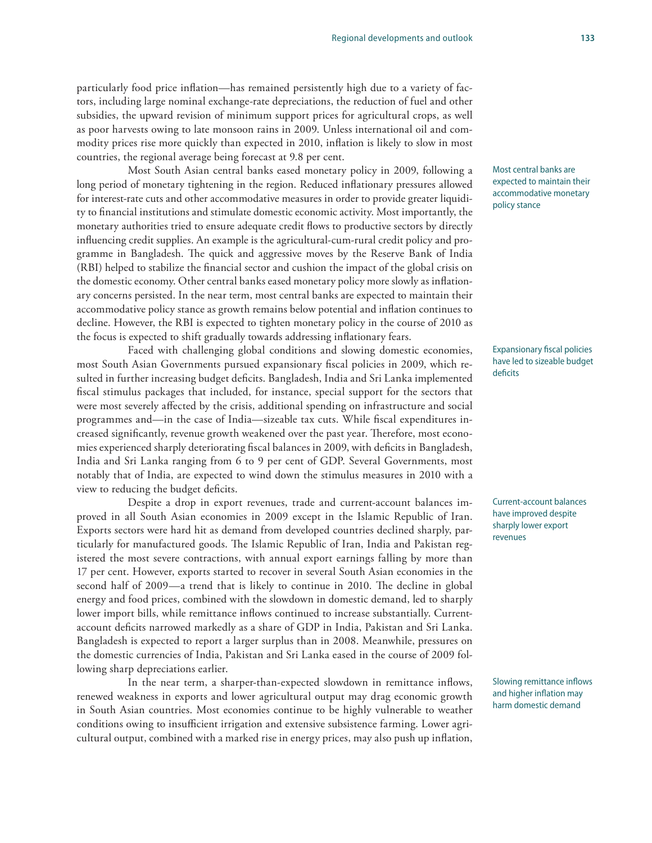particularly food price inflation—has remained persistently high due to a variety of factors, including large nominal exchange-rate depreciations, the reduction of fuel and other subsidies, the upward revision of minimum support prices for agricultural crops, as well as poor harvests owing to late monsoon rains in 2009. Unless international oil and commodity prices rise more quickly than expected in 2010, inflation is likely to slow in most countries, the regional average being forecast at 9.8 per cent.

Most South Asian central banks eased monetary policy in 2009, following a long period of monetary tightening in the region. Reduced inflationary pressures allowed for interest-rate cuts and other accommodative measures in order to provide greater liquidity to financial institutions and stimulate domestic economic activity. Most importantly, the monetary authorities tried to ensure adequate credit flows to productive sectors by directly influencing credit supplies. An example is the agricultural-cum-rural credit policy and programme in Bangladesh. The quick and aggressive moves by the Reserve Bank of India (RBI) helped to stabilize the financial sector and cushion the impact of the global crisis on the domestic economy. Other central banks eased monetary policy more slowly as inflationary concerns persisted. In the near term, most central banks are expected to maintain their accommodative policy stance as growth remains below potential and inflation continues to decline. However, the RBI is expected to tighten monetary policy in the course of 2010 as the focus is expected to shift gradually towards addressing inflationary fears.

Faced with challenging global conditions and slowing domestic economies, most South Asian Governments pursued expansionary fiscal policies in 2009, which resulted in further increasing budget deficits. Bangladesh, India and Sri Lanka implemented fiscal stimulus packages that included, for instance, special support for the sectors that were most severely affected by the crisis, additional spending on infrastructure and social programmes and—in the case of India—sizeable tax cuts. While fiscal expenditures increased significantly, revenue growth weakened over the past year. Therefore, most economies experienced sharply deteriorating fiscal balances in 2009, with deficits in Bangladesh, India and Sri Lanka ranging from 6 to 9 per cent of GDP. Several Governments, most notably that of India, are expected to wind down the stimulus measures in 2010 with a view to reducing the budget deficits.

Despite a drop in export revenues, trade and current-account balances improved in all South Asian economies in 2009 except in the Islamic Republic of Iran. Exports sectors were hard hit as demand from developed countries declined sharply, particularly for manufactured goods. The Islamic Republic of Iran, India and Pakistan registered the most severe contractions, with annual export earnings falling by more than 17 per cent. However, exports started to recover in several South Asian economies in the second half of 2009—a trend that is likely to continue in 2010. The decline in global energy and food prices, combined with the slowdown in domestic demand, led to sharply lower import bills, while remittance inflows continued to increase substantially. Currentaccount deficits narrowed markedly as a share of GDP in India, Pakistan and Sri Lanka. Bangladesh is expected to report a larger surplus than in 2008. Meanwhile, pressures on the domestic currencies of India, Pakistan and Sri Lanka eased in the course of 2009 following sharp depreciations earlier.

In the near term, a sharper-than-expected slowdown in remittance inflows, renewed weakness in exports and lower agricultural output may drag economic growth in South Asian countries. Most economies continue to be highly vulnerable to weather conditions owing to insufficient irrigation and extensive subsistence farming. Lower agricultural output, combined with a marked rise in energy prices, may also push up inflation, Most central banks are expected to maintain their accommodative monetary policy stance

Expansionary fiscal policies have led to sizeable budget deficits

Current-account balances have improved despite sharply lower export revenues

Slowing remittance inflows and higher inflation may harm domestic demand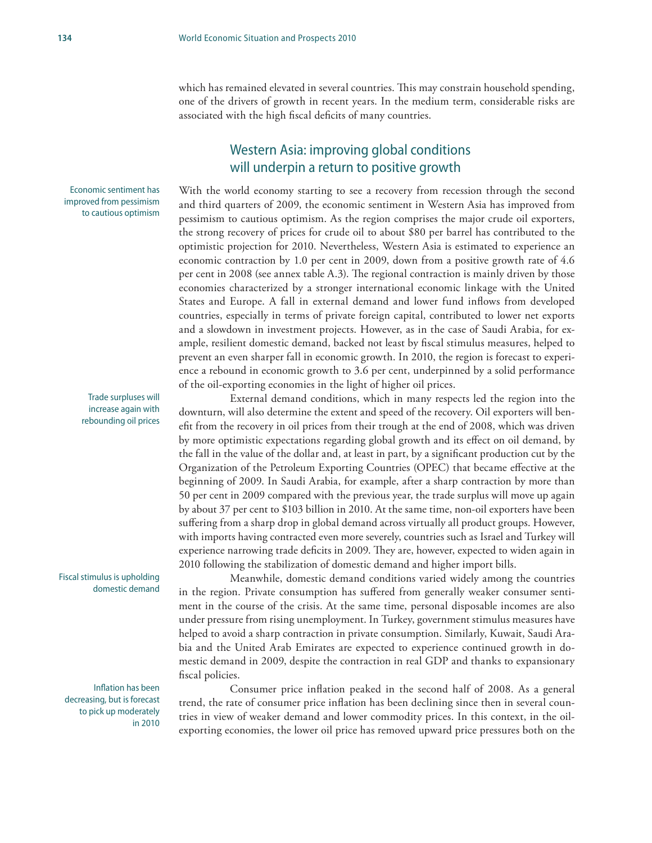which has remained elevated in several countries. This may constrain household spending, one of the drivers of growth in recent years. In the medium term, considerable risks are associated with the high fiscal deficits of many countries.

# Western Asia: improving global conditions will underpin a return to positive growth

With the world economy starting to see a recovery from recession through the second and third quarters of 2009, the economic sentiment in Western Asia has improved from pessimism to cautious optimism. As the region comprises the major crude oil exporters, the strong recovery of prices for crude oil to about \$80 per barrel has contributed to the optimistic projection for 2010. Nevertheless, Western Asia is estimated to experience an economic contraction by 1.0 per cent in 2009, down from a positive growth rate of 4.6 per cent in 2008 (see annex table A.3). The regional contraction is mainly driven by those economies characterized by a stronger international economic linkage with the United States and Europe. A fall in external demand and lower fund inflows from developed countries, especially in terms of private foreign capital, contributed to lower net exports and a slowdown in investment projects. However, as in the case of Saudi Arabia, for example, resilient domestic demand, backed not least by fiscal stimulus measures, helped to prevent an even sharper fall in economic growth. In 2010, the region is forecast to experience a rebound in economic growth to 3.6 per cent, underpinned by a solid performance of the oil-exporting economies in the light of higher oil prices.

External demand conditions, which in many respects led the region into the downturn, will also determine the extent and speed of the recovery. Oil exporters will benefit from the recovery in oil prices from their trough at the end of 2008, which was driven by more optimistic expectations regarding global growth and its effect on oil demand, by the fall in the value of the dollar and, at least in part, by a significant production cut by the Organization of the Petroleum Exporting Countries (OPEC) that became effective at the beginning of 2009. In Saudi Arabia, for example, after a sharp contraction by more than 50 per cent in 2009 compared with the previous year, the trade surplus will move up again by about 37 per cent to \$103 billion in 2010. At the same time, non-oil exporters have been suffering from a sharp drop in global demand across virtually all product groups. However, with imports having contracted even more severely, countries such as Israel and Turkey will experience narrowing trade deficits in 2009. They are, however, expected to widen again in 2010 following the stabilization of domestic demand and higher import bills.

Meanwhile, domestic demand conditions varied widely among the countries in the region. Private consumption has suffered from generally weaker consumer sentiment in the course of the crisis. At the same time, personal disposable incomes are also under pressure from rising unemployment. In Turkey, government stimulus measures have helped to avoid a sharp contraction in private consumption. Similarly, Kuwait, Saudi Arabia and the United Arab Emirates are expected to experience continued growth in domestic demand in 2009, despite the contraction in real GDP and thanks to expansionary fiscal policies.

Consumer price inflation peaked in the second half of 2008. As a general trend, the rate of consumer price inflation has been declining since then in several countries in view of weaker demand and lower commodity prices. In this context, in the oilexporting economies, the lower oil price has removed upward price pressures both on the

Economic sentiment has improved from pessimism to cautious optimism

> Trade surpluses will increase again with rebounding oil prices

Fiscal stimulus is upholding domestic demand

Inflation has been decreasing, but is forecast to pick up moderately in 2010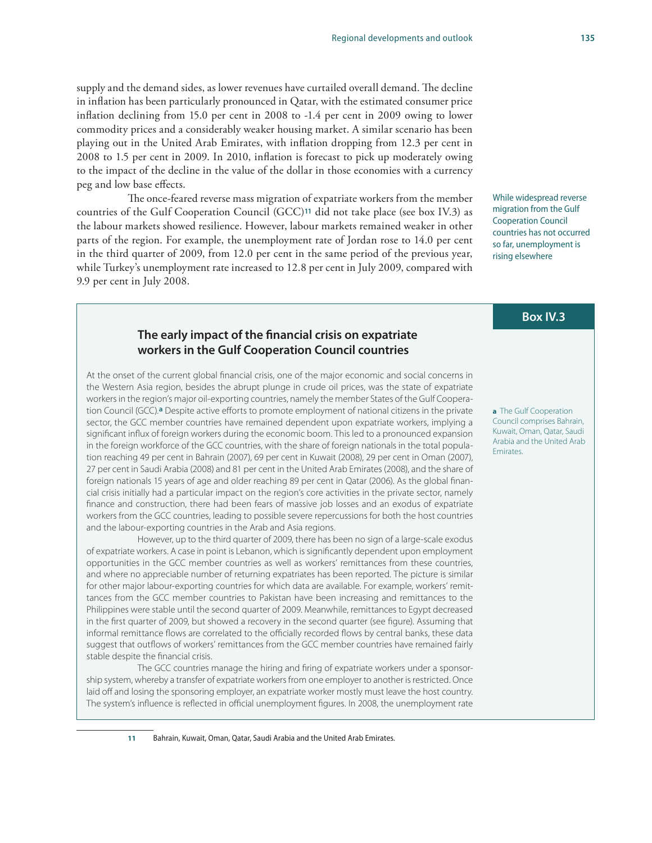#### supply and the demand sides, as lower revenues have curtailed overall demand. The decline in inflation has been particularly pronounced in Qatar, with the estimated consumer price inflation declining from 15.0 per cent in 2008 to -1.4 per cent in 2009 owing to lower commodity prices and a considerably weaker housing market. A similar scenario has been playing out in the United Arab Emirates, with inflation dropping from 12.3 per cent in 2008 to 1.5 per cent in 2009. In 2010, inflation is forecast to pick up moderately owing to the impact of the decline in the value of the dollar in those economies with a currency peg and low base effects.

The once-feared reverse mass migration of expatriate workers from the member countries of the Gulf Cooperation Council (GCC)**11** did not take place (see box IV.3) as the labour markets showed resilience. However, labour markets remained weaker in other parts of the region. For example, the unemployment rate of Jordan rose to 14.0 per cent in the third quarter of 2009, from 12.0 per cent in the same period of the previous year, while Turkey's unemployment rate increased to 12.8 per cent in July 2009, compared with 9.9 per cent in July 2008.

#### **The early impact of the financial crisis on expatriate workers in the Gulf Cooperation Council countries**

At the onset of the current global financial crisis, one of the major economic and social concerns in the Western Asia region, besides the abrupt plunge in crude oil prices, was the state of expatriate workers in the region's major oil-exporting countries, namely the member States of the Gulf Cooperation Council (GCC).**a** Despite active efforts to promote employment of national citizens in the private sector, the GCC member countries have remained dependent upon expatriate workers, implying a significant influx of foreign workers during the economic boom. This led to a pronounced expansion in the foreign workforce of the GCC countries, with the share of foreign nationals in the total population reaching 49 per cent in Bahrain (2007), 69 per cent in Kuwait (2008), 29 per cent in Oman (2007), 27 per cent in Saudi Arabia (2008) and 81 per cent in the United Arab Emirates (2008), and the share of foreign nationals 15 years of age and older reaching 89 per cent in Qatar (2006). As the global financial crisis initially had a particular impact on the region's core activities in the private sector, namely finance and construction, there had been fears of massive job losses and an exodus of expatriate workers from the GCC countries, leading to possible severe repercussions for both the host countries and the labour-exporting countries in the Arab and Asia regions.

However, up to the third quarter of 2009, there has been no sign of a large-scale exodus of expatriate workers. A case in point is Lebanon, which is significantly dependent upon employment opportunities in the GCC member countries as well as workers' remittances from these countries, and where no appreciable number of returning expatriates has been reported. The picture is similar for other major labour-exporting countries for which data are available. For example, workers' remittances from the GCC member countries to Pakistan have been increasing and remittances to the Philippines were stable until the second quarter of 2009. Meanwhile, remittances to Egypt decreased in the first quarter of 2009, but showed a recovery in the second quarter (see figure). Assuming that informal remittance flows are correlated to the officially recorded flows by central banks, these data suggest that outflows of workers' remittances from the GCC member countries have remained fairly stable despite the financial crisis.

The GCC countries manage the hiring and firing of expatriate workers under a sponsorship system, whereby a transfer of expatriate workers from one employer to another is restricted. Once laid off and losing the sponsoring employer, an expatriate worker mostly must leave the host country. The system's influence is reflected in official unemployment figures. In 2008, the unemployment rate

While widespread reverse migration from the Gulf Cooperation Council countries has not occurred so far, unemployment is rising elsewhere

#### **Box IV.3**

**a** The Gulf Cooperation Council comprises Bahrain, Kuwait, Oman, Qatar, Saudi Arabia and the United Arab Emirates.

**11** Bahrain, Kuwait, Oman, Qatar, Saudi Arabia and the United Arab Emirates.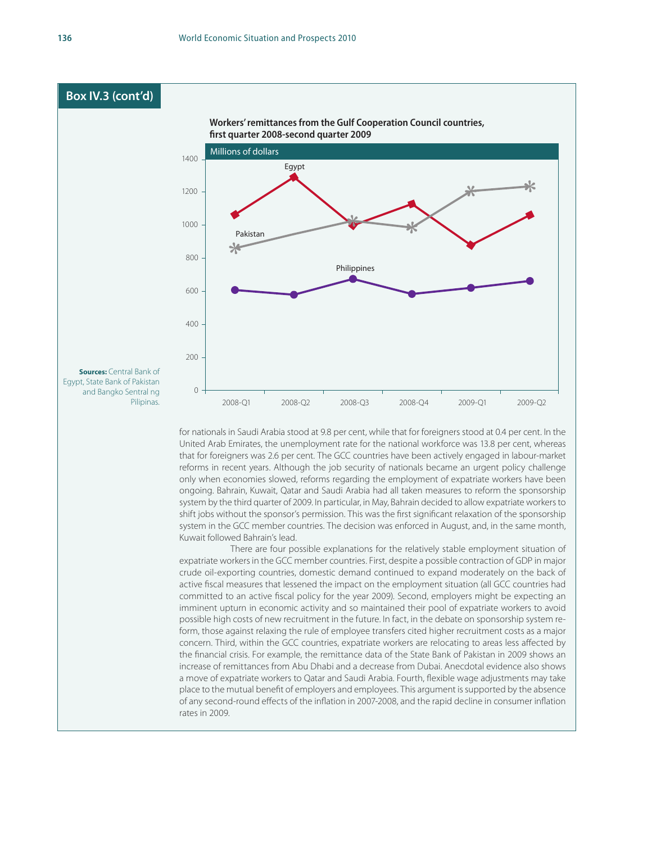

United Arab Emirates, the unemployment rate for the national workforce was 13.8 per cent, whereas that for foreigners was 2.6 per cent. The GCC countries have been actively engaged in labour-market reforms in recent years. Although the job security of nationals became an urgent policy challenge only when economies slowed, reforms regarding the employment of expatriate workers have been ongoing. Bahrain, Kuwait, Qatar and Saudi Arabia had all taken measures to reform the sponsorship system by the third quarter of 2009. In particular, in May, Bahrain decided to allow expatriate workers to shift jobs without the sponsor's permission. This was the first significant relaxation of the sponsorship system in the GCC member countries. The decision was enforced in August, and, in the same month, Kuwait followed Bahrain's lead.

There are four possible explanations for the relatively stable employment situation of expatriate workers in the GCC member countries. First, despite a possible contraction of GDP in major crude oil-exporting countries, domestic demand continued to expand moderately on the back of active fiscal measures that lessened the impact on the employment situation (all GCC countries had committed to an active fiscal policy for the year 2009). Second, employers might be expecting an imminent upturn in economic activity and so maintained their pool of expatriate workers to avoid possible high costs of new recruitment in the future. In fact, in the debate on sponsorship system reform, those against relaxing the rule of employee transfers cited higher recruitment costs as a major concern. Third, within the GCC countries, expatriate workers are relocating to areas less affected by the financial crisis. For example, the remittance data of the State Bank of Pakistan in 2009 shows an increase of remittances from Abu Dhabi and a decrease from Dubai. Anecdotal evidence also shows a move of expatriate workers to Qatar and Saudi Arabia. Fourth, flexible wage adjustments may take place to the mutual benefit of employers and employees. This argument is supported by the absence of any second-round effects of the inflation in 2007-2008, and the rapid decline in consumer inflation rates in 2009.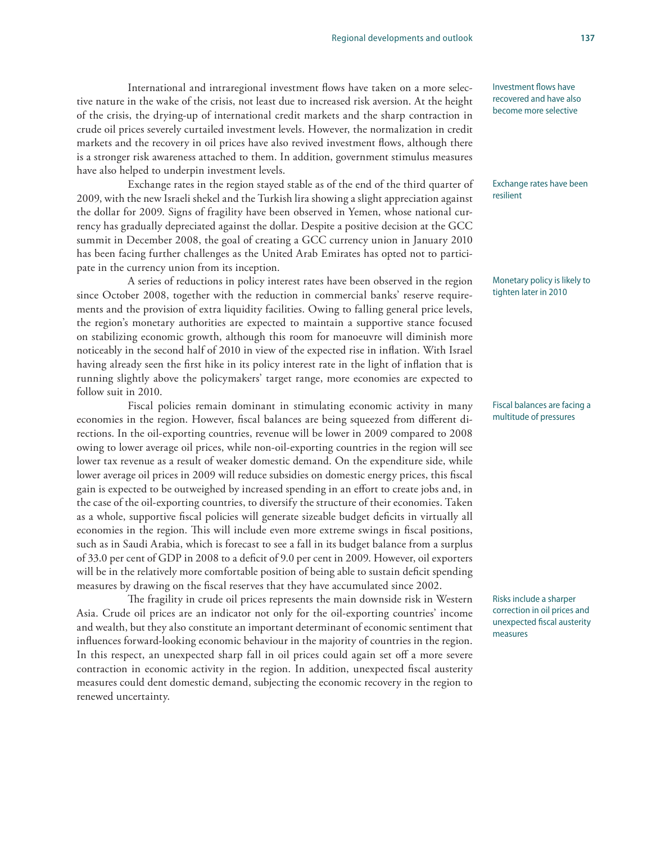#### International and intraregional investment flows have taken on a more selective nature in the wake of the crisis, not least due to increased risk aversion. At the height of the crisis, the drying-up of international credit markets and the sharp contraction in crude oil prices severely curtailed investment levels. However, the normalization in credit markets and the recovery in oil prices have also revived investment flows, although there

have also helped to underpin investment levels. Exchange rates in the region stayed stable as of the end of the third quarter of 2009, with the new Israeli shekel and the Turkish lira showing a slight appreciation against the dollar for 2009. Signs of fragility have been observed in Yemen, whose national currency has gradually depreciated against the dollar. Despite a positive decision at the GCC summit in December 2008, the goal of creating a GCC currency union in January 2010 has been facing further challenges as the United Arab Emirates has opted not to participate in the currency union from its inception.

is a stronger risk awareness attached to them. In addition, government stimulus measures

A series of reductions in policy interest rates have been observed in the region since October 2008, together with the reduction in commercial banks' reserve requirements and the provision of extra liquidity facilities. Owing to falling general price levels, the region's monetary authorities are expected to maintain a supportive stance focused on stabilizing economic growth, although this room for manoeuvre will diminish more noticeably in the second half of 2010 in view of the expected rise in inflation. With Israel having already seen the first hike in its policy interest rate in the light of inflation that is running slightly above the policymakers' target range, more economies are expected to follow suit in 2010.

Fiscal policies remain dominant in stimulating economic activity in many economies in the region. However, fiscal balances are being squeezed from different directions. In the oil-exporting countries, revenue will be lower in 2009 compared to 2008 owing to lower average oil prices, while non-oil-exporting countries in the region will see lower tax revenue as a result of weaker domestic demand. On the expenditure side, while lower average oil prices in 2009 will reduce subsidies on domestic energy prices, this fiscal gain is expected to be outweighed by increased spending in an effort to create jobs and, in the case of the oil-exporting countries, to diversify the structure of their economies. Taken as a whole, supportive fiscal policies will generate sizeable budget deficits in virtually all economies in the region. This will include even more extreme swings in fiscal positions, such as in Saudi Arabia, which is forecast to see a fall in its budget balance from a surplus of 33.0 per cent of GDP in 2008 to a deficit of 9.0 per cent in 2009. However, oil exporters will be in the relatively more comfortable position of being able to sustain deficit spending measures by drawing on the fiscal reserves that they have accumulated since 2002.

The fragility in crude oil prices represents the main downside risk in Western Asia. Crude oil prices are an indicator not only for the oil-exporting countries' income and wealth, but they also constitute an important determinant of economic sentiment that influences forward-looking economic behaviour in the majority of countries in the region. In this respect, an unexpected sharp fall in oil prices could again set off a more severe contraction in economic activity in the region. In addition, unexpected fiscal austerity measures could dent domestic demand, subjecting the economic recovery in the region to renewed uncertainty.

Investment flows have recovered and have also become more selective

#### Exchange rates have been resilient

Monetary policy is likely to tighten later in 2010

Fiscal balances are facing a multitude of pressures

Risks include a sharper correction in oil prices and unexpected fiscal austerity measures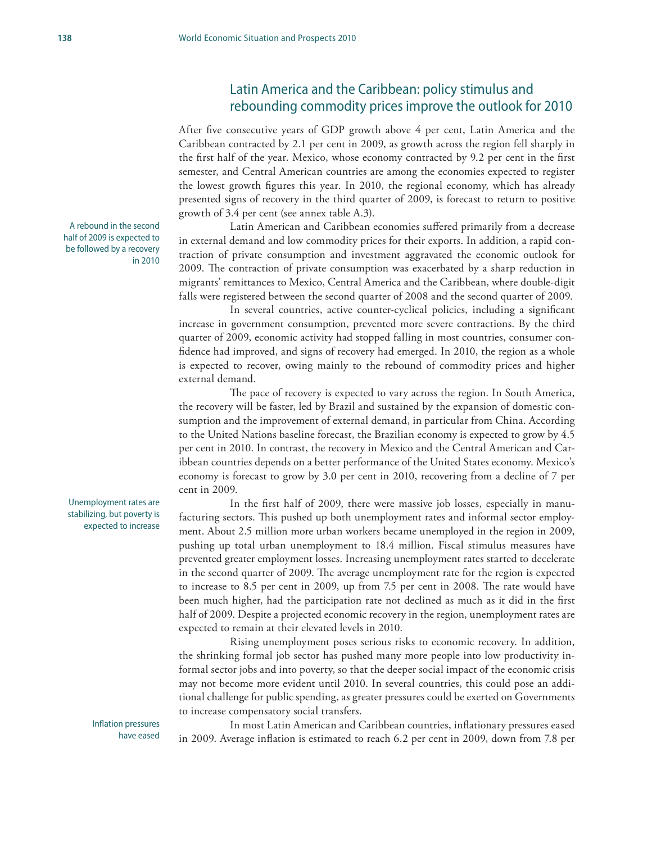# Latin America and the Caribbean: policy stimulus and rebounding commodity prices improve the outlook for 2010

After five consecutive years of GDP growth above 4 per cent, Latin America and the Caribbean contracted by 2.1 per cent in 2009, as growth across the region fell sharply in the first half of the year. Mexico, whose economy contracted by 9.2 per cent in the first semester, and Central American countries are among the economies expected to register the lowest growth figures this year. In 2010, the regional economy, which has already presented signs of recovery in the third quarter of 2009, is forecast to return to positive growth of 3.4 per cent (see annex table A.3).

Latin American and Caribbean economies suffered primarily from a decrease in external demand and low commodity prices for their exports. In addition, a rapid contraction of private consumption and investment aggravated the economic outlook for 2009. The contraction of private consumption was exacerbated by a sharp reduction in migrants' remittances to Mexico, Central America and the Caribbean, where double-digit falls were registered between the second quarter of 2008 and the second quarter of 2009.

In several countries, active counter-cyclical policies, including a significant increase in government consumption, prevented more severe contractions. By the third quarter of 2009, economic activity had stopped falling in most countries, consumer confidence had improved, and signs of recovery had emerged. In 2010, the region as a whole is expected to recover, owing mainly to the rebound of commodity prices and higher external demand.

The pace of recovery is expected to vary across the region. In South America, the recovery will be faster, led by Brazil and sustained by the expansion of domestic consumption and the improvement of external demand, in particular from China. According to the United Nations baseline forecast, the Brazilian economy is expected to grow by 4.5 per cent in 2010. In contrast, the recovery in Mexico and the Central American and Caribbean countries depends on a better performance of the United States economy. Mexico's economy is forecast to grow by 3.0 per cent in 2010, recovering from a decline of 7 per cent in 2009.

In the first half of 2009, there were massive job losses, especially in manufacturing sectors. This pushed up both unemployment rates and informal sector employment. About 2.5 million more urban workers became unemployed in the region in 2009, pushing up total urban unemployment to 18.4 million. Fiscal stimulus measures have prevented greater employment losses. Increasing unemployment rates started to decelerate in the second quarter of 2009. The average unemployment rate for the region is expected to increase to 8.5 per cent in 2009, up from 7.5 per cent in 2008. The rate would have been much higher, had the participation rate not declined as much as it did in the first half of 2009. Despite a projected economic recovery in the region, unemployment rates are expected to remain at their elevated levels in 2010.

Rising unemployment poses serious risks to economic recovery. In addition, the shrinking formal job sector has pushed many more people into low productivity informal sector jobs and into poverty, so that the deeper social impact of the economic crisis may not become more evident until 2010. In several countries, this could pose an additional challenge for public spending, as greater pressures could be exerted on Governments to increase compensatory social transfers.

In most Latin American and Caribbean countries, inflationary pressures eased in 2009. Average inflation is estimated to reach 6.2 per cent in 2009, down from 7.8 per

A rebound in the second half of 2009 is expected to be followed by a recovery in 2010

Unemployment rates are stabilizing, but poverty is expected to increase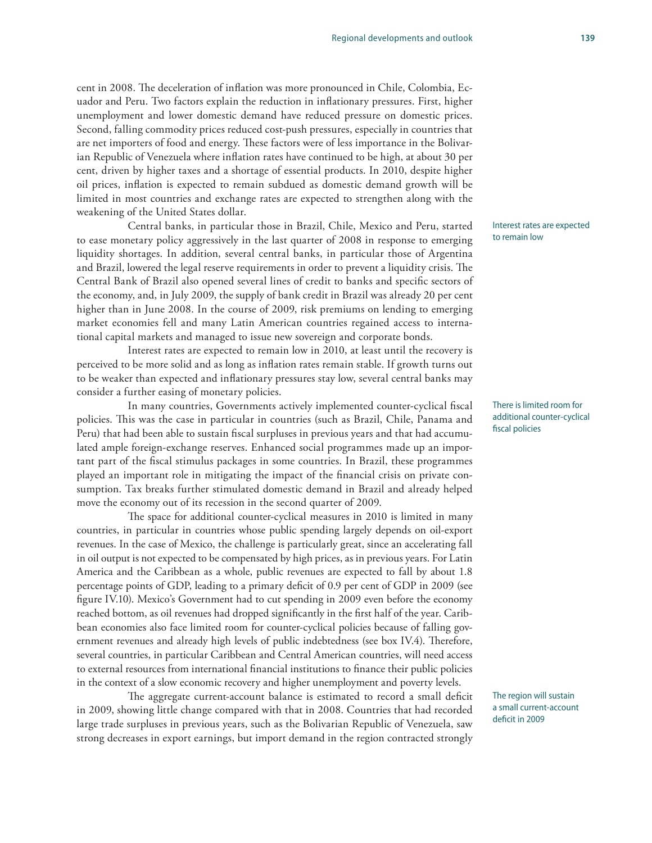#### cent in 2008. The deceleration of inflation was more pronounced in Chile, Colombia, Ecuador and Peru. Two factors explain the reduction in inflationary pressures. First, higher unemployment and lower domestic demand have reduced pressure on domestic prices. Second, falling commodity prices reduced cost-push pressures, especially in countries that are net importers of food and energy. These factors were of less importance in the Bolivarian Republic of Venezuela where inflation rates have continued to be high, at about 30 per cent, driven by higher taxes and a shortage of essential products. In 2010, despite higher oil prices, inflation is expected to remain subdued as domestic demand growth will be limited in most countries and exchange rates are expected to strengthen along with the weakening of the United States dollar.

Central banks, in particular those in Brazil, Chile, Mexico and Peru, started to ease monetary policy aggressively in the last quarter of 2008 in response to emerging liquidity shortages. In addition, several central banks, in particular those of Argentina and Brazil, lowered the legal reserve requirements in order to prevent a liquidity crisis. The Central Bank of Brazil also opened several lines of credit to banks and specific sectors of the economy, and, in July 2009, the supply of bank credit in Brazil was already 20 per cent higher than in June 2008. In the course of 2009, risk premiums on lending to emerging market economies fell and many Latin American countries regained access to international capital markets and managed to issue new sovereign and corporate bonds.

Interest rates are expected to remain low in 2010, at least until the recovery is perceived to be more solid and as long as inflation rates remain stable. If growth turns out to be weaker than expected and inflationary pressures stay low, several central banks may consider a further easing of monetary policies.

In many countries, Governments actively implemented counter-cyclical fiscal policies. This was the case in particular in countries (such as Brazil, Chile, Panama and Peru) that had been able to sustain fiscal surpluses in previous years and that had accumulated ample foreign-exchange reserves. Enhanced social programmes made up an important part of the fiscal stimulus packages in some countries. In Brazil, these programmes played an important role in mitigating the impact of the financial crisis on private consumption. Tax breaks further stimulated domestic demand in Brazil and already helped move the economy out of its recession in the second quarter of 2009.

The space for additional counter-cyclical measures in 2010 is limited in many countries, in particular in countries whose public spending largely depends on oil-export revenues. In the case of Mexico, the challenge is particularly great, since an accelerating fall in oil output is not expected to be compensated by high prices, as in previous years. For Latin America and the Caribbean as a whole, public revenues are expected to fall by about 1.8 percentage points of GDP, leading to a primary deficit of 0.9 per cent of GDP in 2009 (see figure IV.10). Mexico's Government had to cut spending in 2009 even before the economy reached bottom, as oil revenues had dropped significantly in the first half of the year. Caribbean economies also face limited room for counter-cyclical policies because of falling government revenues and already high levels of public indebtedness (see box IV.4). Therefore, several countries, in particular Caribbean and Central American countries, will need access to external resources from international financial institutions to finance their public policies in the context of a slow economic recovery and higher unemployment and poverty levels.

The aggregate current-account balance is estimated to record a small deficit in 2009, showing little change compared with that in 2008. Countries that had recorded large trade surpluses in previous years, such as the Bolivarian Republic of Venezuela, saw strong decreases in export earnings, but import demand in the region contracted strongly

Interest rates are expected to remain low

There is limited room for additional counter-cyclical fiscal policies

The region will sustain a small current-account deficit in 2009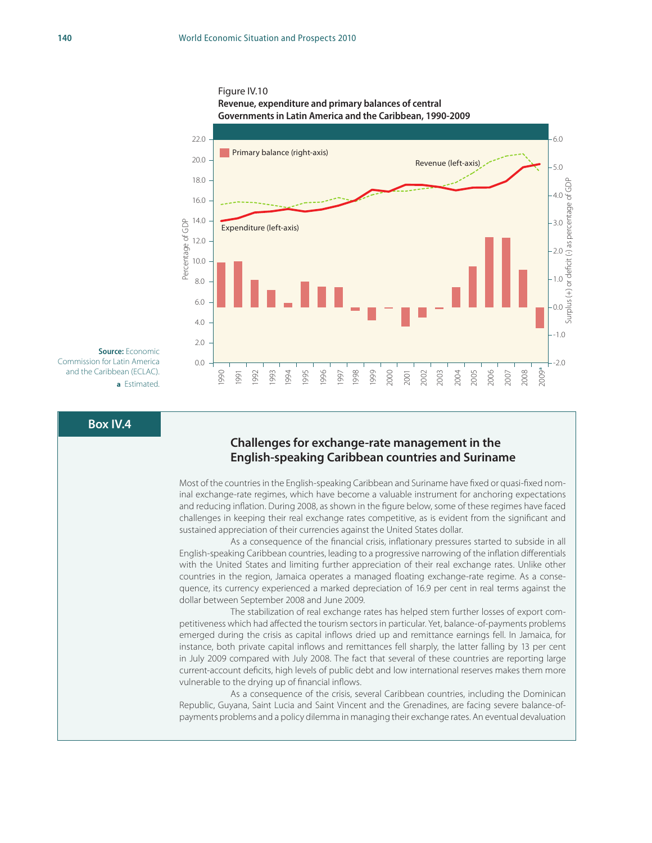



**Source:** Economic Commission for Latin America and the Caribbean (ECLAC). **a** Estimated.

#### **Box IV.4**

#### **Challenges for exchange-rate management in the English-speaking Caribbean countries and Suriname**

Most of the countries in the English-speaking Caribbean and Suriname have fixed or quasi-fixed nominal exchange-rate regimes, which have become a valuable instrument for anchoring expectations and reducing inflation. During 2008, as shown in the figure below, some of these regimes have faced challenges in keeping their real exchange rates competitive, as is evident from the significant and sustained appreciation of their currencies against the United States dollar.

As a consequence of the financial crisis, inflationary pressures started to subside in all English-speaking Caribbean countries, leading to a progressive narrowing of the inflation differentials with the United States and limiting further appreciation of their real exchange rates. Unlike other countries in the region, Jamaica operates a managed floating exchange-rate regime. As a consequence, its currency experienced a marked depreciation of 16.9 per cent in real terms against the dollar between September 2008 and June 2009.

The stabilization of real exchange rates has helped stem further losses of export competitiveness which had affected the tourism sectors in particular. Yet, balance-of-payments problems emerged during the crisis as capital inflows dried up and remittance earnings fell. In Jamaica, for instance, both private capital inflows and remittances fell sharply, the latter falling by 13 per cent in July 2009 compared with July 2008. The fact that several of these countries are reporting large current-account deficits, high levels of public debt and low international reserves makes them more vulnerable to the drying up of financial inflows.

As a consequence of the crisis, several Caribbean countries, including the Dominican Republic, Guyana, Saint Lucia and Saint Vincent and the Grenadines, are facing severe balance-ofpayments problems and a policy dilemma in managing their exchange rates. An eventual devaluation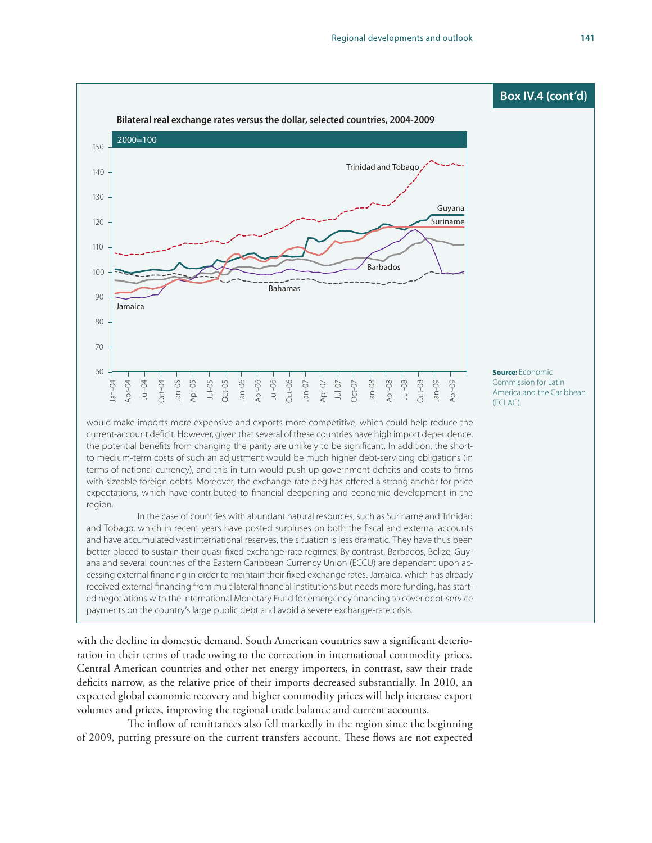

would make imports more expensive and exports more competitive, which could help reduce the current-account deficit. However, given that several of these countries have high import dependence, the potential benefits from changing the parity are unlikely to be significant. In addition, the shortto medium-term costs of such an adjustment would be much higher debt-servicing obligations (in terms of national currency), and this in turn would push up government deficits and costs to firms with sizeable foreign debts. Moreover, the exchange-rate peg has offered a strong anchor for price expectations, which have contributed to financial deepening and economic development in the region.

In the case of countries with abundant natural resources, such as Suriname and Trinidad and Tobago, which in recent years have posted surpluses on both the fiscal and external accounts and have accumulated vast international reserves, the situation is less dramatic. They have thus been better placed to sustain their quasi-fixed exchange-rate regimes. By contrast, Barbados, Belize, Guyana and several countries of the Eastern Caribbean Currency Union (ECCU) are dependent upon accessing external financing in order to maintain their fixed exchange rates. Jamaica, which has already received external financing from multilateral financial institutions but needs more funding, has started negotiations with the International Monetary Fund for emergency financing to cover debt-service payments on the country's large public debt and avoid a severe exchange-rate crisis.

with the decline in domestic demand. South American countries saw a significant deterioration in their terms of trade owing to the correction in international commodity prices. Central American countries and other net energy importers, in contrast, saw their trade deficits narrow, as the relative price of their imports decreased substantially. In 2010, an expected global economic recovery and higher commodity prices will help increase export volumes and prices, improving the regional trade balance and current accounts.

The inflow of remittances also fell markedly in the region since the beginning of 2009, putting pressure on the current transfers account. These flows are not expected

**Source:** Economic Commission for Latin America and the Caribbean